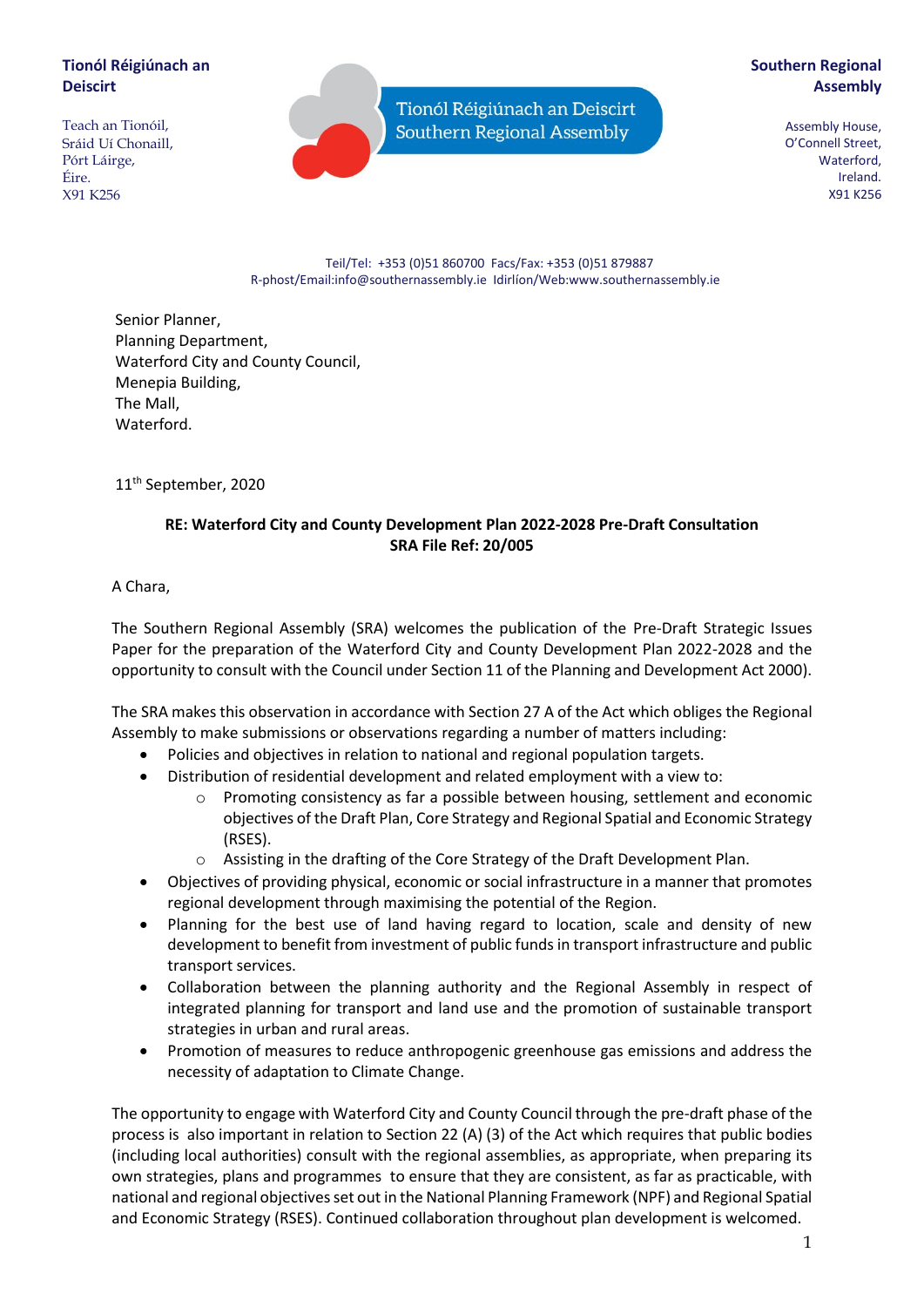# **Tionól Réigiúnach an Deiscirt**

Teach an Tionóil, Sráid Uí Chonaill, Pórt Láirge, Éire. X91 K256

Tionól Réigiúnach an Deiscirt Southern Regional Assembly

# **Southern Regional Assembly**

Assembly House, O'Connell Street, Waterford, Ireland. X91 K256

#### Teil/Tel: +353 (0)51 860700 Facs/Fax: +353 (0)51 879887 R-phost/Email:info@southernassembly.ie Idirlíon/Web:www.southernassembly.ie

Senior Planner, Planning Department, Waterford City and County Council, Menepia Building, The Mall, **Waterford** 

11th September, 2020

# **RE: Waterford City and County Development Plan 2022-2028 Pre-Draft Consultation SRA File Ref: 20/005**

A Chara,

The Southern Regional Assembly (SRA) welcomes the publication of the Pre-Draft Strategic Issues Paper for the preparation of the Waterford City and County Development Plan 2022-2028 and the opportunity to consult with the Council under Section 11 of the Planning and Development Act 2000).

The SRA makes this observation in accordance with Section 27 A of the Act which obliges the Regional Assembly to make submissions or observations regarding a number of matters including:

- Policies and objectives in relation to national and regional population targets.
- Distribution of residential development and related employment with a view to:
	- o Promoting consistency as far a possible between housing, settlement and economic objectives of the Draft Plan, Core Strategy and Regional Spatial and Economic Strategy (RSES).
	- o Assisting in the drafting of the Core Strategy of the Draft Development Plan.
- Objectives of providing physical, economic or social infrastructure in a manner that promotes regional development through maximising the potential of the Region.
- Planning for the best use of land having regard to location, scale and density of new development to benefit from investment of public funds in transport infrastructure and public transport services.
- Collaboration between the planning authority and the Regional Assembly in respect of integrated planning for transport and land use and the promotion of sustainable transport strategies in urban and rural areas.
- Promotion of measures to reduce anthropogenic greenhouse gas emissions and address the necessity of adaptation to Climate Change.

The opportunity to engage with Waterford City and County Council through the pre-draft phase of the process is also important in relation to Section 22 (A) (3) of the Act which requires that public bodies (including local authorities) consult with the regional assemblies, as appropriate, when preparing its own strategies, plans and programmes to ensure that they are consistent, as far as practicable, with national and regional objectives set out in the National Planning Framework (NPF) and Regional Spatial and Economic Strategy (RSES). Continued collaboration throughout plan development is welcomed.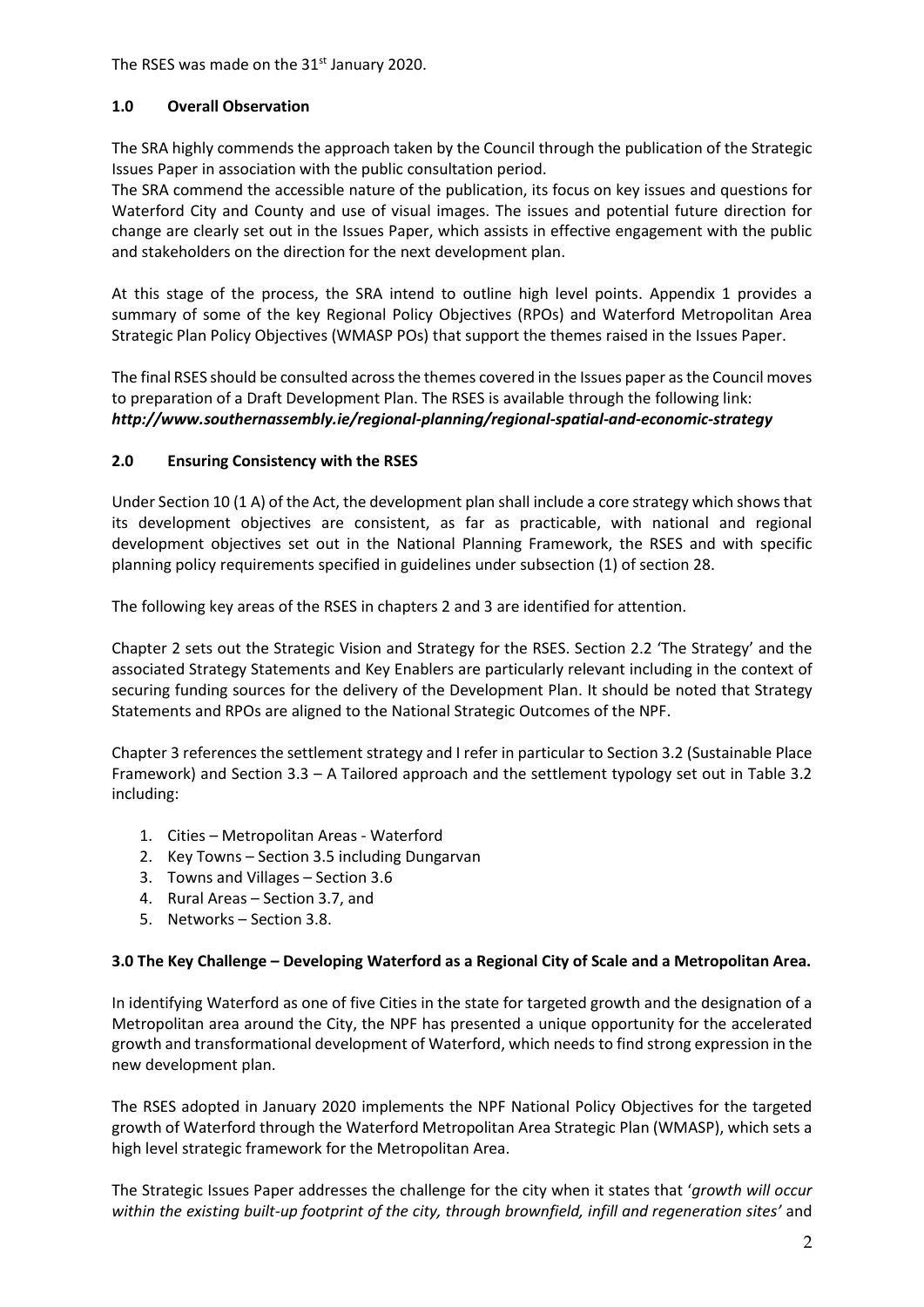The RSES was made on the 31<sup>st</sup> January 2020.

## **1.0 Overall Observation**

The SRA highly commends the approach taken by the Council through the publication of the Strategic Issues Paper in association with the public consultation period.

The SRA commend the accessible nature of the publication, its focus on key issues and questions for Waterford City and County and use of visual images. The issues and potential future direction for change are clearly set out in the Issues Paper, which assists in effective engagement with the public and stakeholders on the direction for the next development plan.

At this stage of the process, the SRA intend to outline high level points. Appendix 1 provides a summary of some of the key Regional Policy Objectives (RPOs) and Waterford Metropolitan Area Strategic Plan Policy Objectives (WMASP POs) that support the themes raised in the Issues Paper.

The final RSES should be consulted across the themes covered in the Issues paper as the Council moves to preparation of a Draft Development Plan. The RSES is available through the following link: *http://www.southernassembly.ie/regional-planning/regional-spatial-and-economic-strategy*

# **2.0 Ensuring Consistency with the RSES**

Under Section 10 (1 A) of the Act, the development plan shall include a core strategy which shows that its development objectives are consistent, as far as practicable, with national and regional development objectives set out in the National Planning Framework, the RSES and with specific planning policy requirements specified in guidelines under subsection (1) of section 28.

The following key areas of the RSES in chapters 2 and 3 are identified for attention.

Chapter 2 sets out the Strategic Vision and Strategy for the RSES. Section 2.2 'The Strategy' and the associated Strategy Statements and Key Enablers are particularly relevant including in the context of securing funding sources for the delivery of the Development Plan. It should be noted that Strategy Statements and RPOs are aligned to the National Strategic Outcomes of the NPF.

Chapter 3 references the settlement strategy and I refer in particular to Section 3.2 (Sustainable Place Framework) and Section 3.3 – A Tailored approach and the settlement typology set out in Table 3.2 including:

- 1. Cities Metropolitan Areas Waterford
- 2. Key Towns Section 3.5 including Dungarvan
- 3. Towns and Villages Section 3.6
- 4. Rural Areas Section 3.7, and
- 5. Networks Section 3.8.

## **3.0 The Key Challenge – Developing Waterford as a Regional City of Scale and a Metropolitan Area.**

In identifying Waterford as one of five Cities in the state for targeted growth and the designation of a Metropolitan area around the City, the NPF has presented a unique opportunity for the accelerated growth and transformational development of Waterford, which needs to find strong expression in the new development plan.

The RSES adopted in January 2020 implements the NPF National Policy Objectives for the targeted growth of Waterford through the Waterford Metropolitan Area Strategic Plan (WMASP), which sets a high level strategic framework for the Metropolitan Area.

The Strategic Issues Paper addresses the challenge for the city when it states that '*growth will occur within the existing built-up footprint of the city, through brownfield, infill and regeneration sites'* and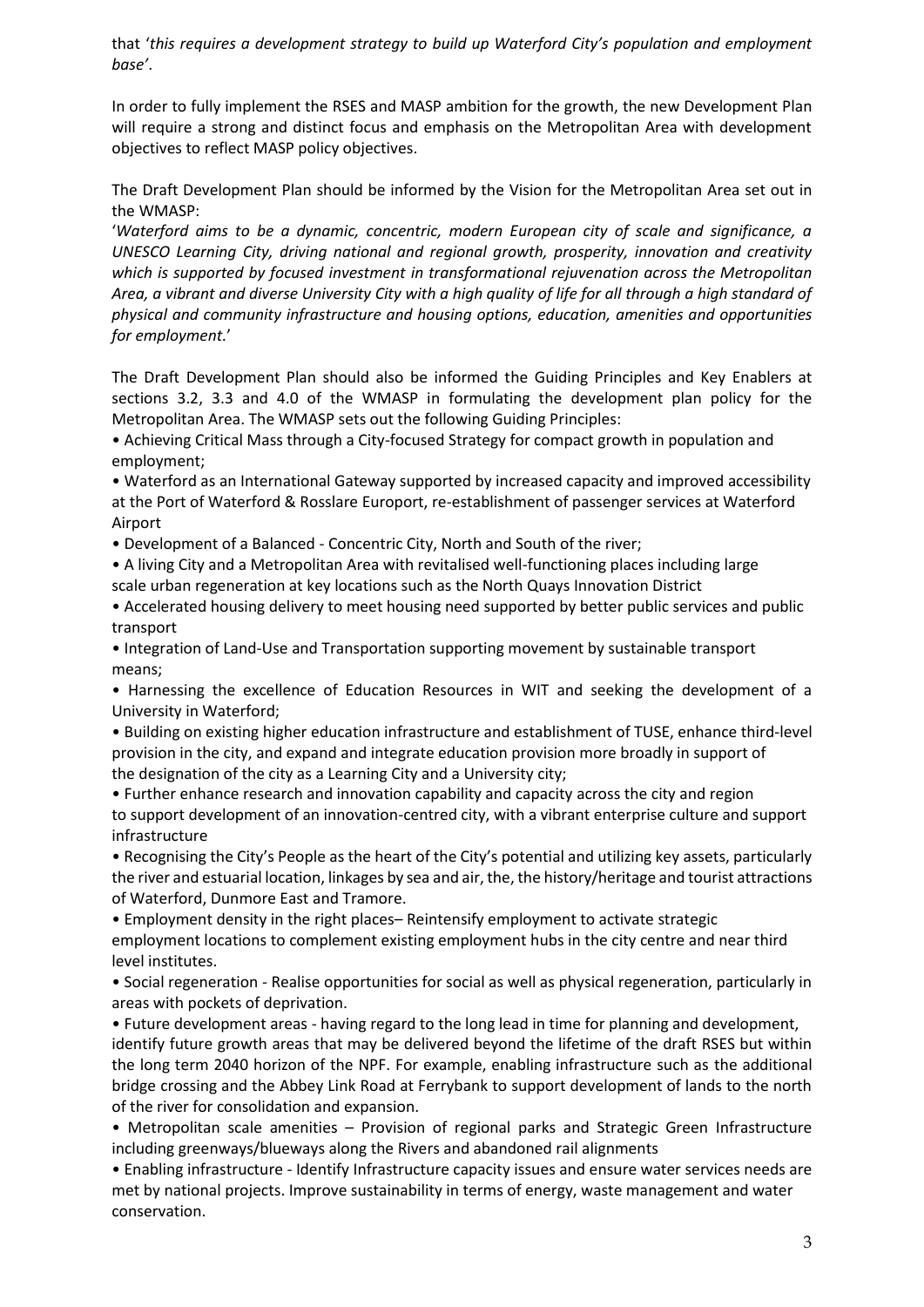that '*this requires a development strategy to build up Waterford City's population and employment base'*.

In order to fully implement the RSES and MASP ambition for the growth, the new Development Plan will require a strong and distinct focus and emphasis on the Metropolitan Area with development objectives to reflect MASP policy objectives.

The Draft Development Plan should be informed by the Vision for the Metropolitan Area set out in the WMASP:

'*Waterford aims to be a dynamic, concentric, modern European city of scale and significance, a UNESCO Learning City, driving national and regional growth, prosperity, innovation and creativity which is supported by focused investment in transformational rejuvenation across the Metropolitan Area, a vibrant and diverse University City with a high quality of life for all through a high standard of physical and community infrastructure and housing options, education, amenities and opportunities for employment.*'

The Draft Development Plan should also be informed the Guiding Principles and Key Enablers at sections 3.2, 3.3 and 4.0 of the WMASP in formulating the development plan policy for the Metropolitan Area. The WMASP sets out the following Guiding Principles:

• Achieving Critical Mass through a City-focused Strategy for compact growth in population and employment;

• Waterford as an International Gateway supported by increased capacity and improved accessibility at the Port of Waterford & Rosslare Europort, re-establishment of passenger services at Waterford Airport

• Development of a Balanced - Concentric City, North and South of the river;

• A living City and a Metropolitan Area with revitalised well-functioning places including large scale urban regeneration at key locations such as the North Quays Innovation District

• Accelerated housing delivery to meet housing need supported by better public services and public transport

• Integration of Land-Use and Transportation supporting movement by sustainable transport means;

• Harnessing the excellence of Education Resources in WIT and seeking the development of a University in Waterford;

• Building on existing higher education infrastructure and establishment of TUSE, enhance third-level provision in the city, and expand and integrate education provision more broadly in support of the designation of the city as a Learning City and a University city;

• Further enhance research and innovation capability and capacity across the city and region to support development of an innovation-centred city, with a vibrant enterprise culture and support infrastructure

• Recognising the City's People as the heart of the City's potential and utilizing key assets, particularly the river and estuarial location, linkages by sea and air, the, the history/heritage and tourist attractions of Waterford, Dunmore East and Tramore.

• Employment density in the right places– Reintensify employment to activate strategic employment locations to complement existing employment hubs in the city centre and near third level institutes.

• Social regeneration - Realise opportunities for social as well as physical regeneration, particularly in areas with pockets of deprivation.

• Future development areas - having regard to the long lead in time for planning and development, identify future growth areas that may be delivered beyond the lifetime of the draft RSES but within the long term 2040 horizon of the NPF. For example, enabling infrastructure such as the additional bridge crossing and the Abbey Link Road at Ferrybank to support development of lands to the north of the river for consolidation and expansion.

• Metropolitan scale amenities – Provision of regional parks and Strategic Green Infrastructure including greenways/blueways along the Rivers and abandoned rail alignments

• Enabling infrastructure - Identify Infrastructure capacity issues and ensure water services needs are met by national projects. Improve sustainability in terms of energy, waste management and water conservation.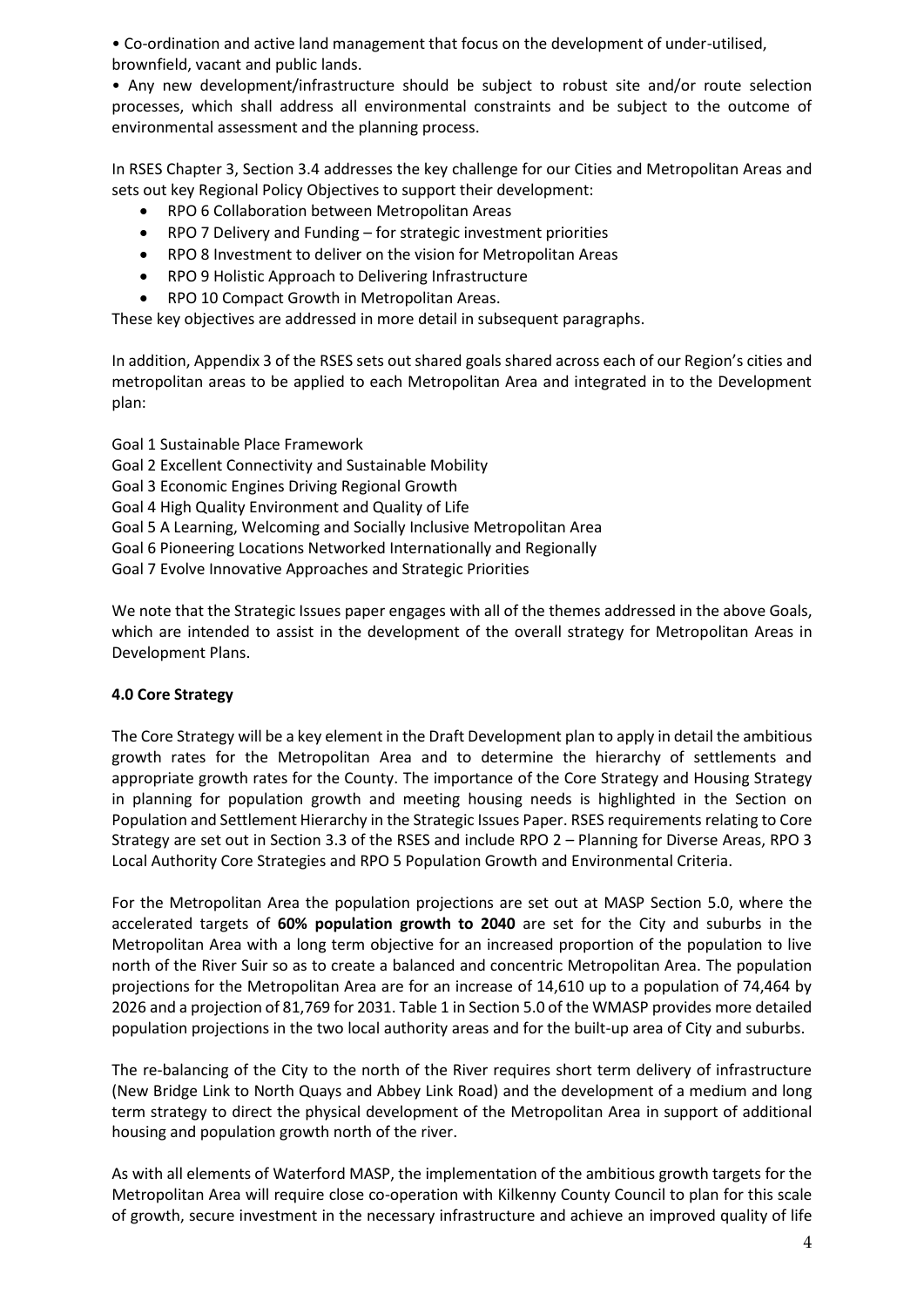• Co-ordination and active land management that focus on the development of under-utilised, brownfield, vacant and public lands.

• Any new development/infrastructure should be subject to robust site and/or route selection processes, which shall address all environmental constraints and be subject to the outcome of environmental assessment and the planning process.

In RSES Chapter 3, Section 3.4 addresses the key challenge for our Cities and Metropolitan Areas and sets out key Regional Policy Objectives to support their development:

- RPO 6 Collaboration between Metropolitan Areas
- RPO 7 Delivery and Funding for strategic investment priorities
- RPO 8 Investment to deliver on the vision for Metropolitan Areas
- RPO 9 Holistic Approach to Delivering Infrastructure
- RPO 10 Compact Growth in Metropolitan Areas.

These key objectives are addressed in more detail in subsequent paragraphs.

In addition, Appendix 3 of the RSES sets out shared goals shared across each of our Region's cities and metropolitan areas to be applied to each Metropolitan Area and integrated in to the Development plan:

Goal 1 Sustainable Place Framework Goal 2 Excellent Connectivity and Sustainable Mobility Goal 3 Economic Engines Driving Regional Growth Goal 4 High Quality Environment and Quality of Life Goal 5 A Learning, Welcoming and Socially Inclusive Metropolitan Area Goal 6 Pioneering Locations Networked Internationally and Regionally Goal 7 Evolve Innovative Approaches and Strategic Priorities

We note that the Strategic Issues paper engages with all of the themes addressed in the above Goals, which are intended to assist in the development of the overall strategy for Metropolitan Areas in Development Plans.

## **4.0 Core Strategy**

The Core Strategy will be a key element in the Draft Development plan to apply in detail the ambitious growth rates for the Metropolitan Area and to determine the hierarchy of settlements and appropriate growth rates for the County. The importance of the Core Strategy and Housing Strategy in planning for population growth and meeting housing needs is highlighted in the Section on Population and Settlement Hierarchy in the Strategic Issues Paper. RSES requirements relating to Core Strategy are set out in Section 3.3 of the RSES and include RPO 2 – Planning for Diverse Areas, RPO 3 Local Authority Core Strategies and RPO 5 Population Growth and Environmental Criteria.

For the Metropolitan Area the population projections are set out at MASP Section 5.0, where the accelerated targets of **60% population growth to 2040** are set for the City and suburbs in the Metropolitan Area with a long term objective for an increased proportion of the population to live north of the River Suir so as to create a balanced and concentric Metropolitan Area. The population projections for the Metropolitan Area are for an increase of 14,610 up to a population of 74,464 by 2026 and a projection of 81,769 for 2031. Table 1 in Section 5.0 of the WMASP provides more detailed population projections in the two local authority areas and for the built-up area of City and suburbs.

The re-balancing of the City to the north of the River requires short term delivery of infrastructure (New Bridge Link to North Quays and Abbey Link Road) and the development of a medium and long term strategy to direct the physical development of the Metropolitan Area in support of additional housing and population growth north of the river.

As with all elements of Waterford MASP, the implementation of the ambitious growth targets for the Metropolitan Area will require close co-operation with Kilkenny County Council to plan for this scale of growth, secure investment in the necessary infrastructure and achieve an improved quality of life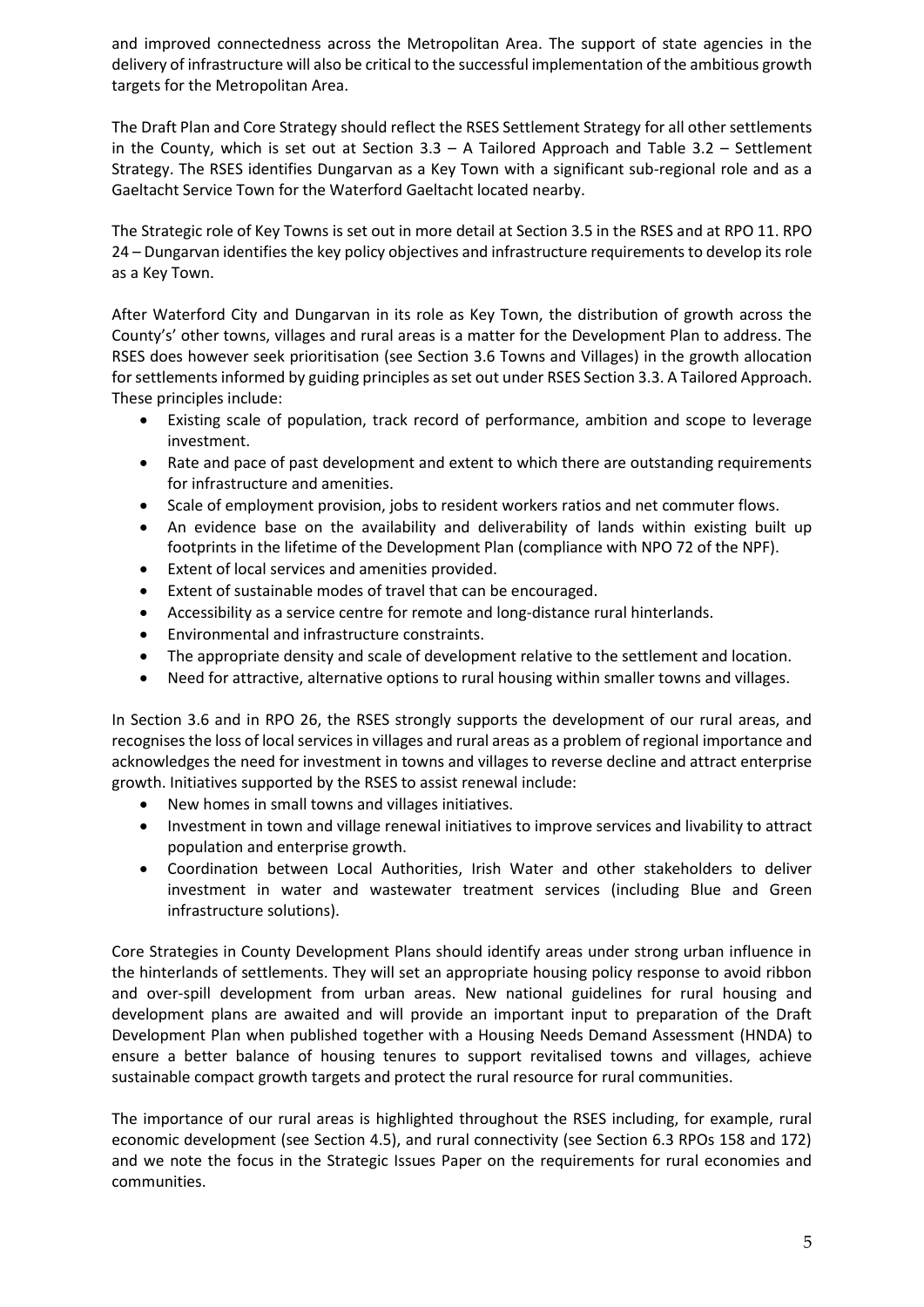and improved connectedness across the Metropolitan Area. The support of state agencies in the delivery of infrastructure will also be critical to the successful implementation of the ambitious growth targets for the Metropolitan Area.

The Draft Plan and Core Strategy should reflect the RSES Settlement Strategy for all other settlements in the County, which is set out at Section  $3.3 - A$  Tailored Approach and Table  $3.2 - S$ ettlement Strategy. The RSES identifies Dungarvan as a Key Town with a significant sub-regional role and as a Gaeltacht Service Town for the Waterford Gaeltacht located nearby.

The Strategic role of Key Towns is set out in more detail at Section 3.5 in the RSES and at RPO 11. RPO 24 – Dungarvan identifies the key policy objectives and infrastructure requirements to develop its role as a Key Town.

After Waterford City and Dungarvan in its role as Key Town, the distribution of growth across the County's' other towns, villages and rural areas is a matter for the Development Plan to address. The RSES does however seek prioritisation (see Section 3.6 Towns and Villages) in the growth allocation for settlements informed by guiding principles as set out under RSES Section 3.3. A Tailored Approach. These principles include:

- Existing scale of population, track record of performance, ambition and scope to leverage investment.
- Rate and pace of past development and extent to which there are outstanding requirements for infrastructure and amenities.
- Scale of employment provision, jobs to resident workers ratios and net commuter flows.
- An evidence base on the availability and deliverability of lands within existing built up footprints in the lifetime of the Development Plan (compliance with NPO 72 of the NPF).
- Extent of local services and amenities provided.
- Extent of sustainable modes of travel that can be encouraged.
- Accessibility as a service centre for remote and long-distance rural hinterlands.
- Environmental and infrastructure constraints.
- The appropriate density and scale of development relative to the settlement and location.
- Need for attractive, alternative options to rural housing within smaller towns and villages.

In Section 3.6 and in RPO 26, the RSES strongly supports the development of our rural areas, and recognises the loss of local services in villages and rural areas as a problem of regional importance and acknowledges the need for investment in towns and villages to reverse decline and attract enterprise growth. Initiatives supported by the RSES to assist renewal include:

- New homes in small towns and villages initiatives.
- Investment in town and village renewal initiatives to improve services and livability to attract population and enterprise growth.
- Coordination between Local Authorities, Irish Water and other stakeholders to deliver investment in water and wastewater treatment services (including Blue and Green infrastructure solutions).

Core Strategies in County Development Plans should identify areas under strong urban influence in the hinterlands of settlements. They will set an appropriate housing policy response to avoid ribbon and over-spill development from urban areas. New national guidelines for rural housing and development plans are awaited and will provide an important input to preparation of the Draft Development Plan when published together with a Housing Needs Demand Assessment (HNDA) to ensure a better balance of housing tenures to support revitalised towns and villages, achieve sustainable compact growth targets and protect the rural resource for rural communities.

The importance of our rural areas is highlighted throughout the RSES including, for example, rural economic development (see Section 4.5), and rural connectivity (see Section 6.3 RPOs 158 and 172) and we note the focus in the Strategic Issues Paper on the requirements for rural economies and communities.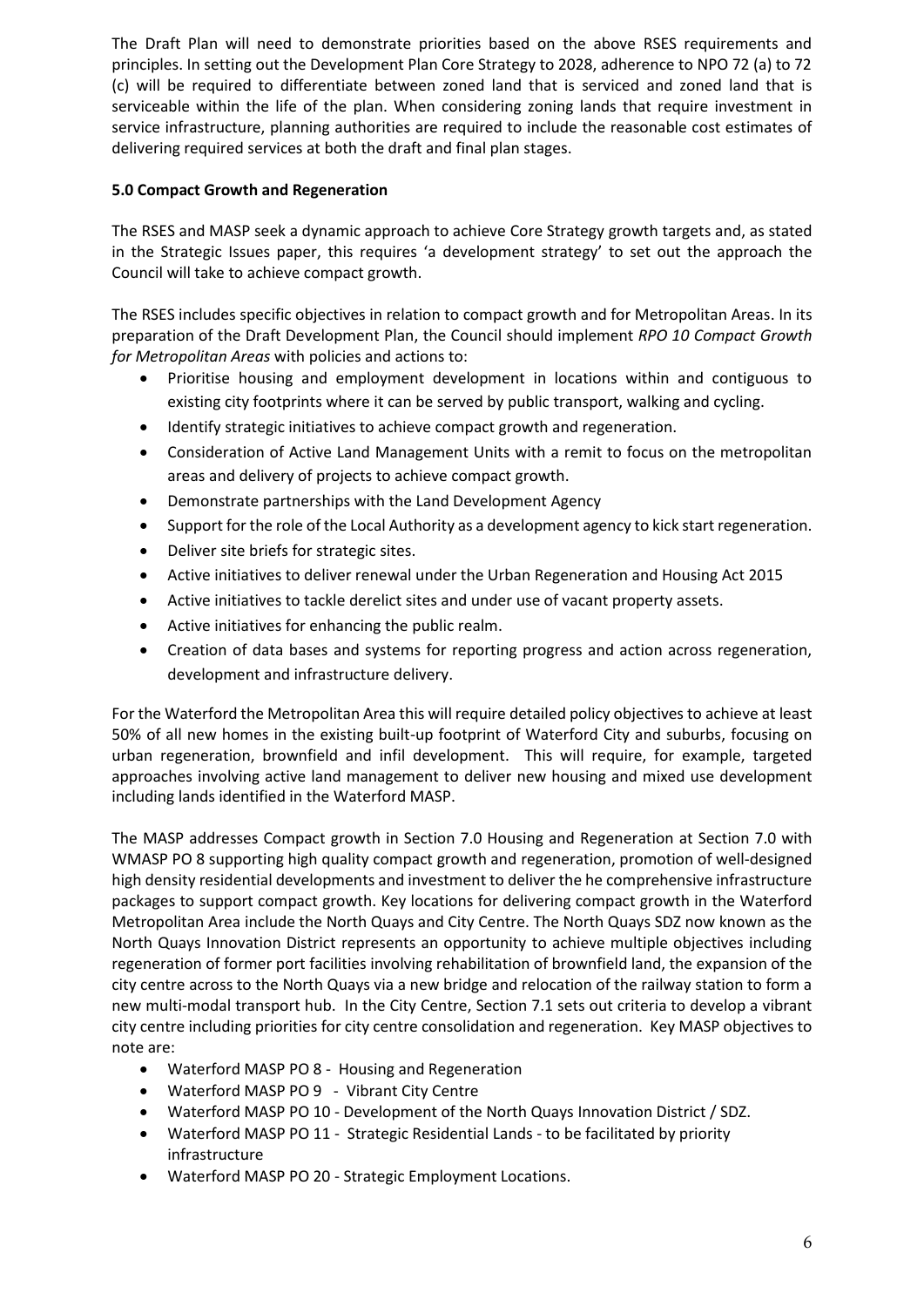The Draft Plan will need to demonstrate priorities based on the above RSES requirements and principles. In setting out the Development Plan Core Strategy to 2028, adherence to NPO 72 (a) to 72 (c) will be required to differentiate between zoned land that is serviced and zoned land that is serviceable within the life of the plan. When considering zoning lands that require investment in service infrastructure, planning authorities are required to include the reasonable cost estimates of delivering required services at both the draft and final plan stages.

# **5.0 Compact Growth and Regeneration**

The RSES and MASP seek a dynamic approach to achieve Core Strategy growth targets and, as stated in the Strategic Issues paper, this requires 'a development strategy' to set out the approach the Council will take to achieve compact growth.

The RSES includes specific objectives in relation to compact growth and for Metropolitan Areas. In its preparation of the Draft Development Plan, the Council should implement *RPO 10 Compact Growth for Metropolitan Areas* with policies and actions to:

- Prioritise housing and employment development in locations within and contiguous to existing city footprints where it can be served by public transport, walking and cycling.
- Identify strategic initiatives to achieve compact growth and regeneration.
- Consideration of Active Land Management Units with a remit to focus on the metropolitan areas and delivery of projects to achieve compact growth.
- Demonstrate partnerships with the Land Development Agency
- Support for the role of the Local Authority as a development agency to kick start regeneration.
- Deliver site briefs for strategic sites.
- Active initiatives to deliver renewal under the Urban Regeneration and Housing Act 2015
- Active initiatives to tackle derelict sites and under use of vacant property assets.
- Active initiatives for enhancing the public realm.
- Creation of data bases and systems for reporting progress and action across regeneration, development and infrastructure delivery.

For the Waterford the Metropolitan Area this will require detailed policy objectives to achieve at least 50% of all new homes in the existing built-up footprint of Waterford City and suburbs, focusing on urban regeneration, brownfield and infil development. This will require, for example, targeted approaches involving active land management to deliver new housing and mixed use development including lands identified in the Waterford MASP.

The MASP addresses Compact growth in Section 7.0 Housing and Regeneration at Section 7.0 with WMASP PO 8 supporting high quality compact growth and regeneration, promotion of well-designed high density residential developments and investment to deliver the he comprehensive infrastructure packages to support compact growth. Key locations for delivering compact growth in the Waterford Metropolitan Area include the North Quays and City Centre. The North Quays SDZ now known as the North Quays Innovation District represents an opportunity to achieve multiple objectives including regeneration of former port facilities involving rehabilitation of brownfield land, the expansion of the city centre across to the North Quays via a new bridge and relocation of the railway station to form a new multi-modal transport hub. In the City Centre, Section 7.1 sets out criteria to develop a vibrant city centre including priorities for city centre consolidation and regeneration. Key MASP objectives to note are:

- Waterford MASP PO 8 Housing and Regeneration
- Waterford MASP PO 9 Vibrant City Centre
- Waterford MASP PO 10 Development of the North Quays Innovation District / SDZ.
- Waterford MASP PO 11 Strategic Residential Lands to be facilitated by priority infrastructure
- Waterford MASP PO 20 Strategic Employment Locations.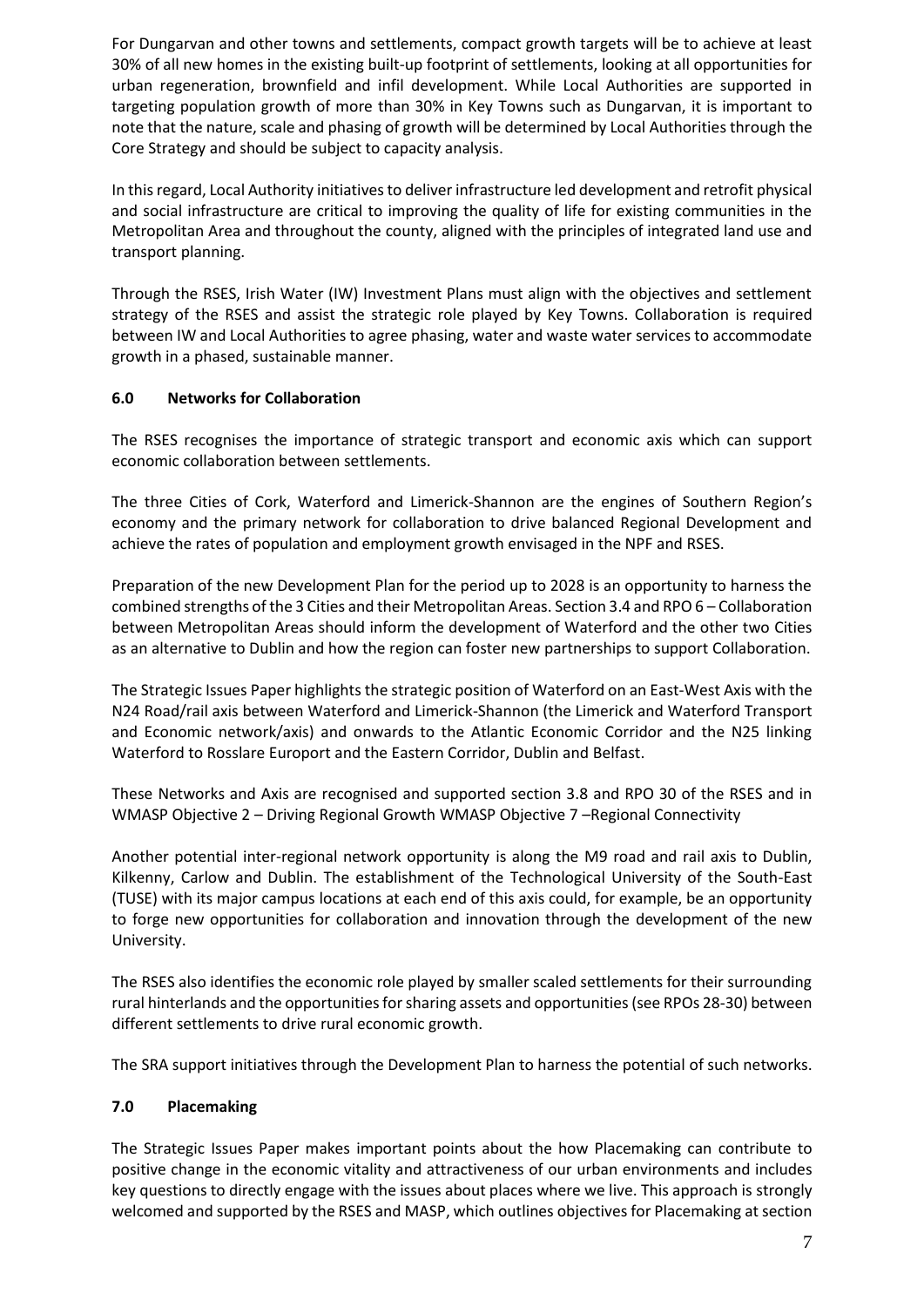For Dungarvan and other towns and settlements, compact growth targets will be to achieve at least 30% of all new homes in the existing built-up footprint of settlements, looking at all opportunities for urban regeneration, brownfield and infil development. While Local Authorities are supported in targeting population growth of more than 30% in Key Towns such as Dungarvan, it is important to note that the nature, scale and phasing of growth will be determined by Local Authorities through the Core Strategy and should be subject to capacity analysis.

In this regard, Local Authority initiatives to deliver infrastructure led development and retrofit physical and social infrastructure are critical to improving the quality of life for existing communities in the Metropolitan Area and throughout the county, aligned with the principles of integrated land use and transport planning.

Through the RSES, Irish Water (IW) Investment Plans must align with the objectives and settlement strategy of the RSES and assist the strategic role played by Key Towns. Collaboration is required between IW and Local Authorities to agree phasing, water and waste water services to accommodate growth in a phased, sustainable manner.

## **6.0 Networks for Collaboration**

The RSES recognises the importance of strategic transport and economic axis which can support economic collaboration between settlements.

The three Cities of Cork, Waterford and Limerick-Shannon are the engines of Southern Region's economy and the primary network for collaboration to drive balanced Regional Development and achieve the rates of population and employment growth envisaged in the NPF and RSES.

Preparation of the new Development Plan for the period up to 2028 is an opportunity to harness the combined strengths of the 3 Cities and their Metropolitan Areas. Section 3.4 and RPO 6 – Collaboration between Metropolitan Areas should inform the development of Waterford and the other two Cities as an alternative to Dublin and how the region can foster new partnerships to support Collaboration.

The Strategic Issues Paper highlights the strategic position of Waterford on an East-West Axis with the N24 Road/rail axis between Waterford and Limerick-Shannon (the Limerick and Waterford Transport and Economic network/axis) and onwards to the Atlantic Economic Corridor and the N25 linking Waterford to Rosslare Europort and the Eastern Corridor, Dublin and Belfast.

These Networks and Axis are recognised and supported section 3.8 and RPO 30 of the RSES and in WMASP Objective 2 – Driving Regional Growth WMASP Objective 7 –Regional Connectivity

Another potential inter-regional network opportunity is along the M9 road and rail axis to Dublin, Kilkenny, Carlow and Dublin. The establishment of the Technological University of the South-East (TUSE) with its major campus locations at each end of this axis could, for example, be an opportunity to forge new opportunities for collaboration and innovation through the development of the new University.

The RSES also identifies the economic role played by smaller scaled settlements for their surrounding rural hinterlands and the opportunities for sharing assets and opportunities (see RPOs 28-30) between different settlements to drive rural economic growth.

The SRA support initiatives through the Development Plan to harness the potential of such networks.

# **7.0 Placemaking**

The Strategic Issues Paper makes important points about the how Placemaking can contribute to positive change in the economic vitality and attractiveness of our urban environments and includes key questions to directly engage with the issues about places where we live. This approach is strongly welcomed and supported by the RSES and MASP, which outlines objectives for Placemaking at section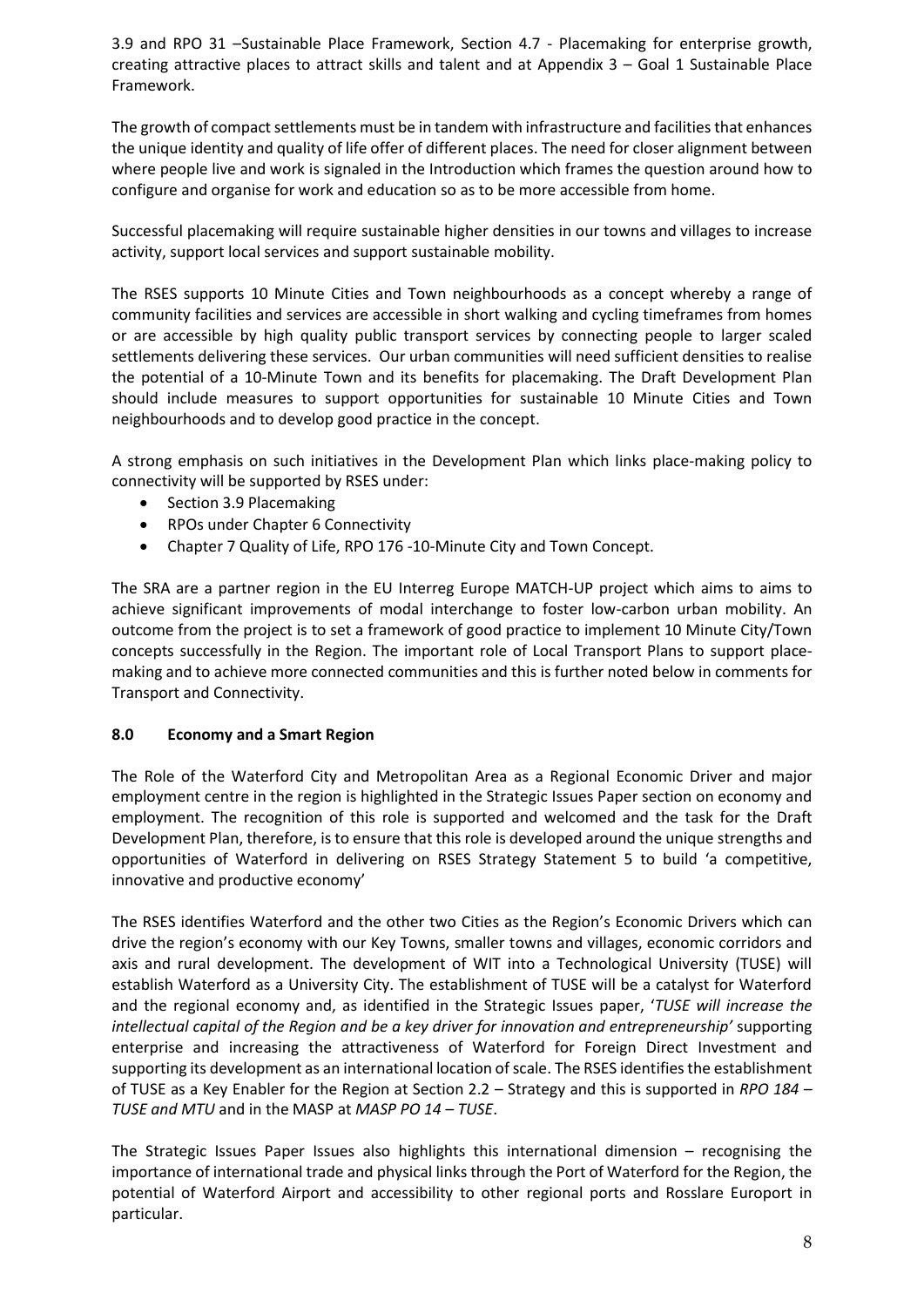3.9 and RPO 31 –Sustainable Place Framework, Section 4.7 - Placemaking for enterprise growth, creating attractive places to attract skills and talent and at Appendix 3 – Goal 1 Sustainable Place Framework.

The growth of compact settlements must be in tandem with infrastructure and facilities that enhances the unique identity and quality of life offer of different places. The need for closer alignment between where people live and work is signaled in the Introduction which frames the question around how to configure and organise for work and education so as to be more accessible from home.

Successful placemaking will require sustainable higher densities in our towns and villages to increase activity, support local services and support sustainable mobility.

The RSES supports 10 Minute Cities and Town neighbourhoods as a concept whereby a range of community facilities and services are accessible in short walking and cycling timeframes from homes or are accessible by high quality public transport services by connecting people to larger scaled settlements delivering these services. Our urban communities will need sufficient densities to realise the potential of a 10-Minute Town and its benefits for placemaking. The Draft Development Plan should include measures to support opportunities for sustainable 10 Minute Cities and Town neighbourhoods and to develop good practice in the concept.

A strong emphasis on such initiatives in the Development Plan which links place-making policy to connectivity will be supported by RSES under:

- Section 3.9 Placemaking
- RPOs under Chapter 6 Connectivity
- Chapter 7 Quality of Life, RPO 176 -10-Minute City and Town Concept.

The SRA are a partner region in the EU Interreg Europe MATCH-UP project which aims to aims to achieve significant improvements of modal interchange to foster low-carbon urban mobility. An outcome from the project is to set a framework of good practice to implement 10 Minute City/Town concepts successfully in the Region. The important role of Local Transport Plans to support placemaking and to achieve more connected communities and this is further noted below in comments for Transport and Connectivity.

## **8.0 Economy and a Smart Region**

The Role of the Waterford City and Metropolitan Area as a Regional Economic Driver and major employment centre in the region is highlighted in the Strategic Issues Paper section on economy and employment. The recognition of this role is supported and welcomed and the task for the Draft Development Plan, therefore, is to ensure that this role is developed around the unique strengths and opportunities of Waterford in delivering on RSES Strategy Statement 5 to build 'a competitive, innovative and productive economy'

The RSES identifies Waterford and the other two Cities as the Region's Economic Drivers which can drive the region's economy with our Key Towns, smaller towns and villages, economic corridors and axis and rural development. The development of WIT into a Technological University (TUSE) will establish Waterford as a University City. The establishment of TUSE will be a catalyst for Waterford and the regional economy and, as identified in the Strategic Issues paper, '*TUSE will increase the intellectual capital of the Region and be a key driver for innovation and entrepreneurship'* supporting enterprise and increasing the attractiveness of Waterford for Foreign Direct Investment and supporting its development as an international location of scale. The RSES identifies the establishment of TUSE as a Key Enabler for the Region at Section 2.2 – Strategy and this is supported in *RPO 184 – TUSE and MTU* and in the MASP at *MASP PO 14 – TUSE*.

The Strategic Issues Paper Issues also highlights this international dimension – recognising the importance of international trade and physical links through the Port of Waterford for the Region, the potential of Waterford Airport and accessibility to other regional ports and Rosslare Europort in particular.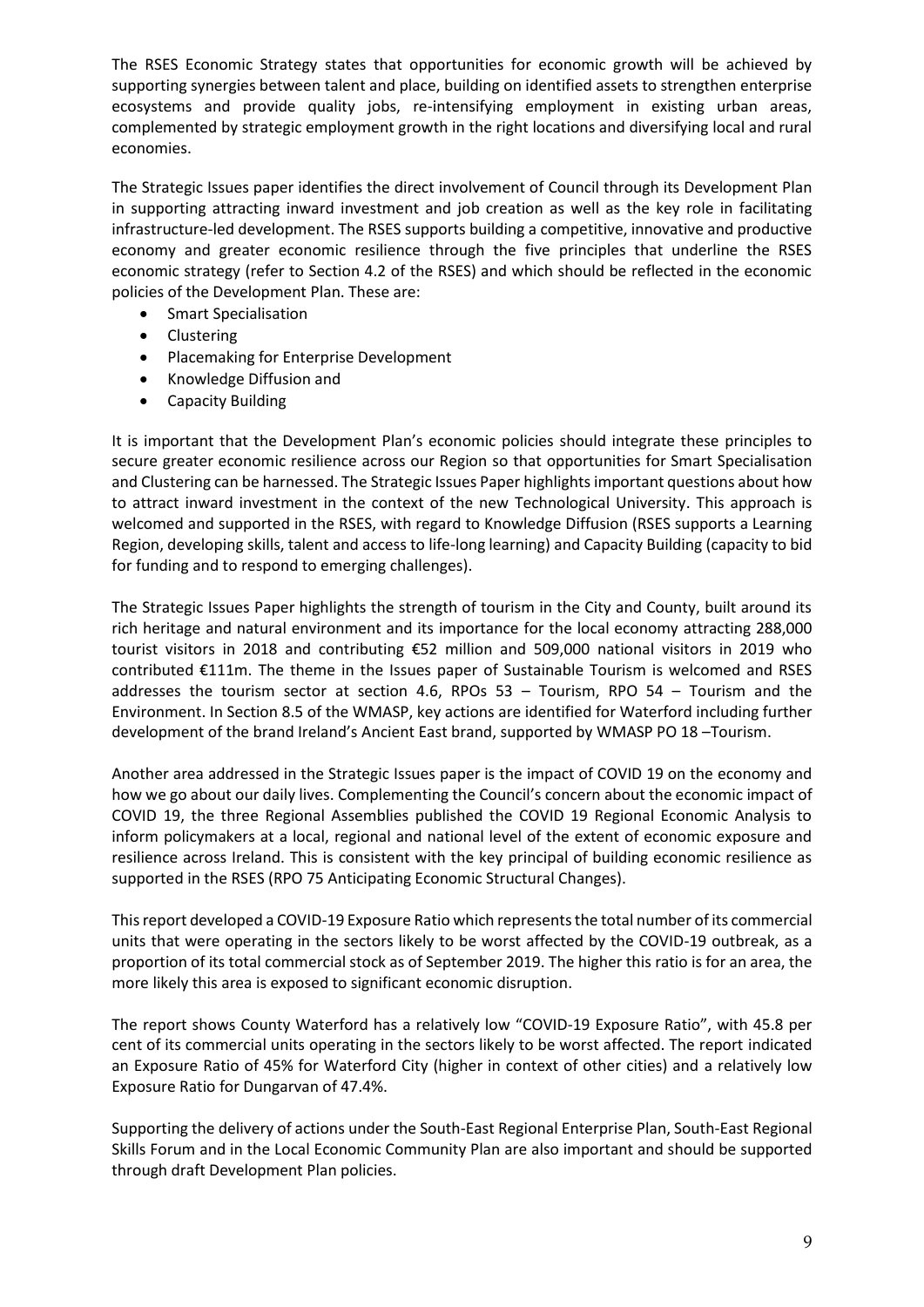The RSES Economic Strategy states that opportunities for economic growth will be achieved by supporting synergies between talent and place, building on identified assets to strengthen enterprise ecosystems and provide quality jobs, re-intensifying employment in existing urban areas, complemented by strategic employment growth in the right locations and diversifying local and rural economies.

The Strategic Issues paper identifies the direct involvement of Council through its Development Plan in supporting attracting inward investment and job creation as well as the key role in facilitating infrastructure-led development. The RSES supports building a competitive, innovative and productive economy and greater economic resilience through the five principles that underline the RSES economic strategy (refer to Section 4.2 of the RSES) and which should be reflected in the economic policies of the Development Plan. These are:

- **•** Smart Specialisation
- Clustering
- Placemaking for Enterprise Development
- Knowledge Diffusion and
- Capacity Building

It is important that the Development Plan's economic policies should integrate these principles to secure greater economic resilience across our Region so that opportunities for Smart Specialisation and Clustering can be harnessed. The Strategic Issues Paper highlights important questions about how to attract inward investment in the context of the new Technological University. This approach is welcomed and supported in the RSES, with regard to Knowledge Diffusion (RSES supports a Learning Region, developing skills, talent and access to life-long learning) and Capacity Building (capacity to bid for funding and to respond to emerging challenges).

The Strategic Issues Paper highlights the strength of tourism in the City and County, built around its rich heritage and natural environment and its importance for the local economy attracting 288,000 tourist visitors in 2018 and contributing €52 million and 509,000 national visitors in 2019 who contributed €111m. The theme in the Issues paper of Sustainable Tourism is welcomed and RSES addresses the tourism sector at section 4.6, RPOs 53 – Tourism, RPO 54 – Tourism and the Environment. In Section 8.5 of the WMASP, key actions are identified for Waterford including further development of the brand Ireland's Ancient East brand, supported by WMASP PO 18 –Tourism.

Another area addressed in the Strategic Issues paper is the impact of COVID 19 on the economy and how we go about our daily lives. Complementing the Council's concern about the economic impact of COVID 19, the three Regional Assemblies published the COVID 19 Regional Economic Analysis to inform policymakers at a local, regional and national level of the extent of economic exposure and resilience across Ireland. This is consistent with the key principal of building economic resilience as supported in the RSES (RPO 75 Anticipating Economic Structural Changes).

This report developed a COVID-19 Exposure Ratio which represents the total number of its commercial units that were operating in the sectors likely to be worst affected by the COVID-19 outbreak, as a proportion of its total commercial stock as of September 2019. The higher this ratio is for an area, the more likely this area is exposed to significant economic disruption.

The report shows County Waterford has a relatively low "COVID-19 Exposure Ratio", with 45.8 per cent of its commercial units operating in the sectors likely to be worst affected. The report indicated an Exposure Ratio of 45% for Waterford City (higher in context of other cities) and a relatively low Exposure Ratio for Dungarvan of 47.4%.

Supporting the delivery of actions under the South-East Regional Enterprise Plan, South-East Regional Skills Forum and in the Local Economic Community Plan are also important and should be supported through draft Development Plan policies.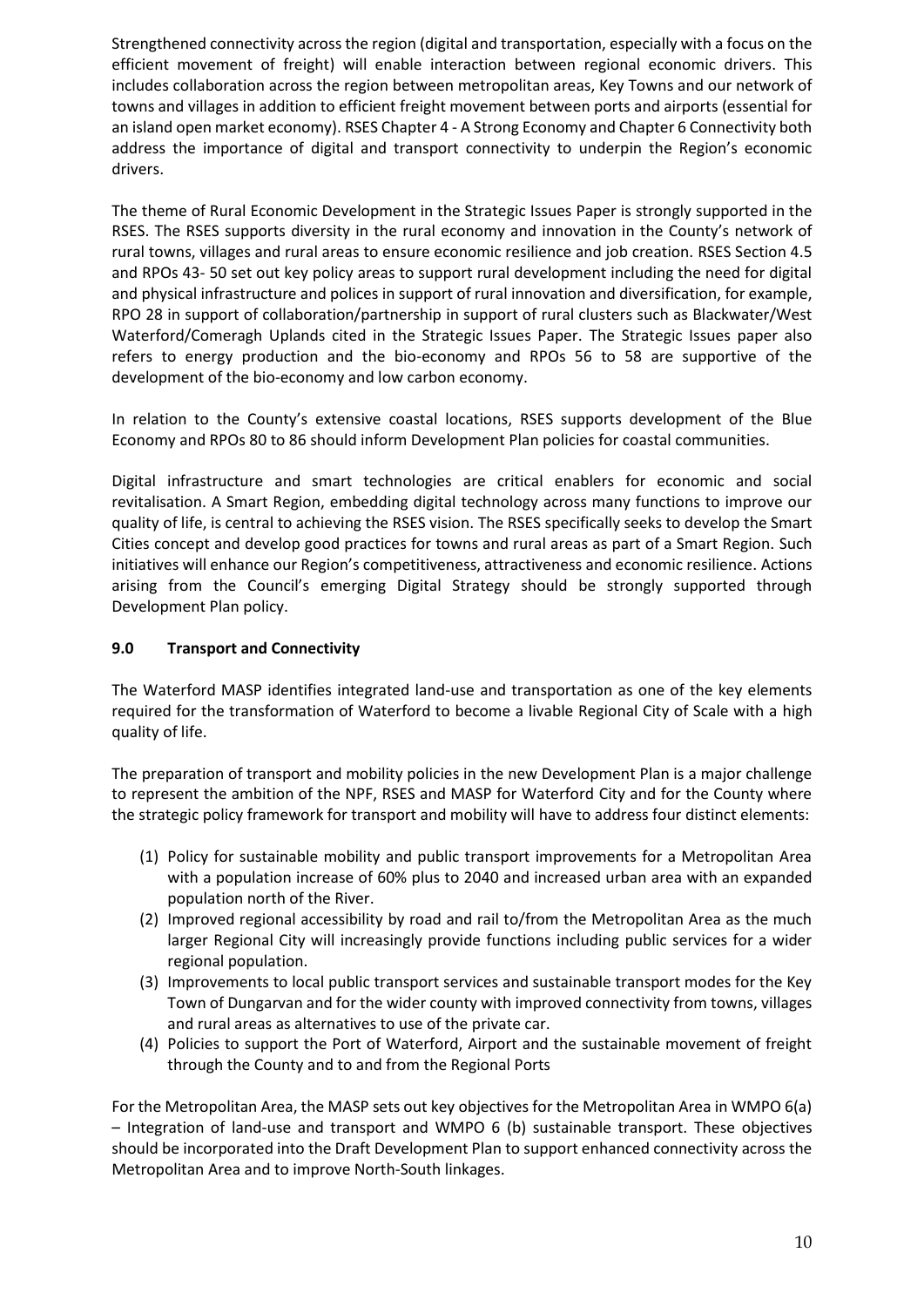Strengthened connectivity across the region (digital and transportation, especially with a focus on the efficient movement of freight) will enable interaction between regional economic drivers. This includes collaboration across the region between metropolitan areas, Key Towns and our network of towns and villages in addition to efficient freight movement between ports and airports (essential for an island open market economy). RSES Chapter 4 - A Strong Economy and Chapter 6 Connectivity both address the importance of digital and transport connectivity to underpin the Region's economic drivers.

The theme of Rural Economic Development in the Strategic Issues Paper is strongly supported in the RSES. The RSES supports diversity in the rural economy and innovation in the County's network of rural towns, villages and rural areas to ensure economic resilience and job creation. RSES Section 4.5 and RPOs 43- 50 set out key policy areas to support rural development including the need for digital and physical infrastructure and polices in support of rural innovation and diversification, for example, RPO 28 in support of collaboration/partnership in support of rural clusters such as Blackwater/West Waterford/Comeragh Uplands cited in the Strategic Issues Paper. The Strategic Issues paper also refers to energy production and the bio-economy and RPOs 56 to 58 are supportive of the development of the bio-economy and low carbon economy.

In relation to the County's extensive coastal locations, RSES supports development of the Blue Economy and RPOs 80 to 86 should inform Development Plan policies for coastal communities.

Digital infrastructure and smart technologies are critical enablers for economic and social revitalisation. A Smart Region, embedding digital technology across many functions to improve our quality of life, is central to achieving the RSES vision. The RSES specifically seeks to develop the Smart Cities concept and develop good practices for towns and rural areas as part of a Smart Region. Such initiatives will enhance our Region's competitiveness, attractiveness and economic resilience. Actions arising from the Council's emerging Digital Strategy should be strongly supported through Development Plan policy.

## **9.0 Transport and Connectivity**

The Waterford MASP identifies integrated land-use and transportation as one of the key elements required for the transformation of Waterford to become a livable Regional City of Scale with a high quality of life.

The preparation of transport and mobility policies in the new Development Plan is a major challenge to represent the ambition of the NPF, RSES and MASP for Waterford City and for the County where the strategic policy framework for transport and mobility will have to address four distinct elements:

- (1) Policy for sustainable mobility and public transport improvements for a Metropolitan Area with a population increase of 60% plus to 2040 and increased urban area with an expanded population north of the River.
- (2) Improved regional accessibility by road and rail to/from the Metropolitan Area as the much larger Regional City will increasingly provide functions including public services for a wider regional population.
- (3) Improvements to local public transport services and sustainable transport modes for the Key Town of Dungarvan and for the wider county with improved connectivity from towns, villages and rural areas as alternatives to use of the private car.
- (4) Policies to support the Port of Waterford, Airport and the sustainable movement of freight through the County and to and from the Regional Ports

For the Metropolitan Area, the MASP sets out key objectives for the Metropolitan Area in WMPO 6(a) – Integration of land-use and transport and WMPO 6 (b) sustainable transport. These objectives should be incorporated into the Draft Development Plan to support enhanced connectivity across the Metropolitan Area and to improve North-South linkages.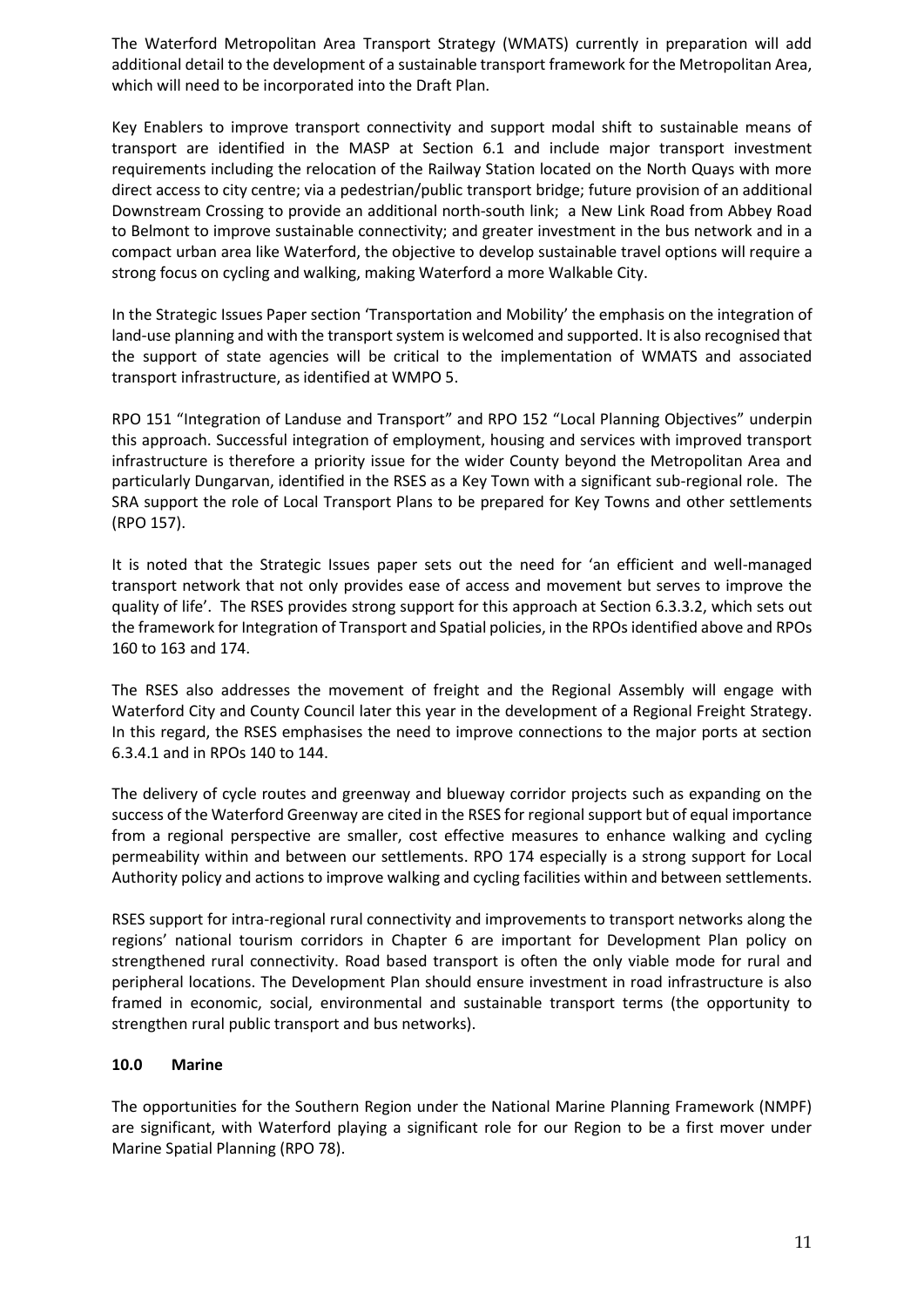The Waterford Metropolitan Area Transport Strategy (WMATS) currently in preparation will add additional detail to the development of a sustainable transport framework for the Metropolitan Area, which will need to be incorporated into the Draft Plan.

Key Enablers to improve transport connectivity and support modal shift to sustainable means of transport are identified in the MASP at Section 6.1 and include major transport investment requirements including the relocation of the Railway Station located on the North Quays with more direct access to city centre; via a pedestrian/public transport bridge; future provision of an additional Downstream Crossing to provide an additional north-south link; a New Link Road from Abbey Road to Belmont to improve sustainable connectivity; and greater investment in the bus network and in a compact urban area like Waterford, the objective to develop sustainable travel options will require a strong focus on cycling and walking, making Waterford a more Walkable City.

In the Strategic Issues Paper section 'Transportation and Mobility' the emphasis on the integration of land-use planning and with the transport system is welcomed and supported. It is also recognised that the support of state agencies will be critical to the implementation of WMATS and associated transport infrastructure, as identified at WMPO 5.

RPO 151 "Integration of Landuse and Transport" and RPO 152 "Local Planning Objectives" underpin this approach. Successful integration of employment, housing and services with improved transport infrastructure is therefore a priority issue for the wider County beyond the Metropolitan Area and particularly Dungarvan, identified in the RSES as a Key Town with a significant sub-regional role. The SRA support the role of Local Transport Plans to be prepared for Key Towns and other settlements (RPO 157).

It is noted that the Strategic Issues paper sets out the need for 'an efficient and well-managed transport network that not only provides ease of access and movement but serves to improve the quality of life'. The RSES provides strong support for this approach at Section 6.3.3.2, which sets out the framework for Integration of Transport and Spatial policies, in the RPOs identified above and RPOs 160 to 163 and 174.

The RSES also addresses the movement of freight and the Regional Assembly will engage with Waterford City and County Council later this year in the development of a Regional Freight Strategy. In this regard, the RSES emphasises the need to improve connections to the major ports at section 6.3.4.1 and in RPOs 140 to 144.

The delivery of cycle routes and greenway and blueway corridor projects such as expanding on the success of the Waterford Greenway are cited in the RSES for regional support but of equal importance from a regional perspective are smaller, cost effective measures to enhance walking and cycling permeability within and between our settlements. RPO 174 especially is a strong support for Local Authority policy and actions to improve walking and cycling facilities within and between settlements.

RSES support for intra-regional rural connectivity and improvements to transport networks along the regions' national tourism corridors in Chapter 6 are important for Development Plan policy on strengthened rural connectivity. Road based transport is often the only viable mode for rural and peripheral locations. The Development Plan should ensure investment in road infrastructure is also framed in economic, social, environmental and sustainable transport terms (the opportunity to strengthen rural public transport and bus networks).

## **10.0 Marine**

The opportunities for the Southern Region under the National Marine Planning Framework (NMPF) are significant, with Waterford playing a significant role for our Region to be a first mover under Marine Spatial Planning (RPO 78).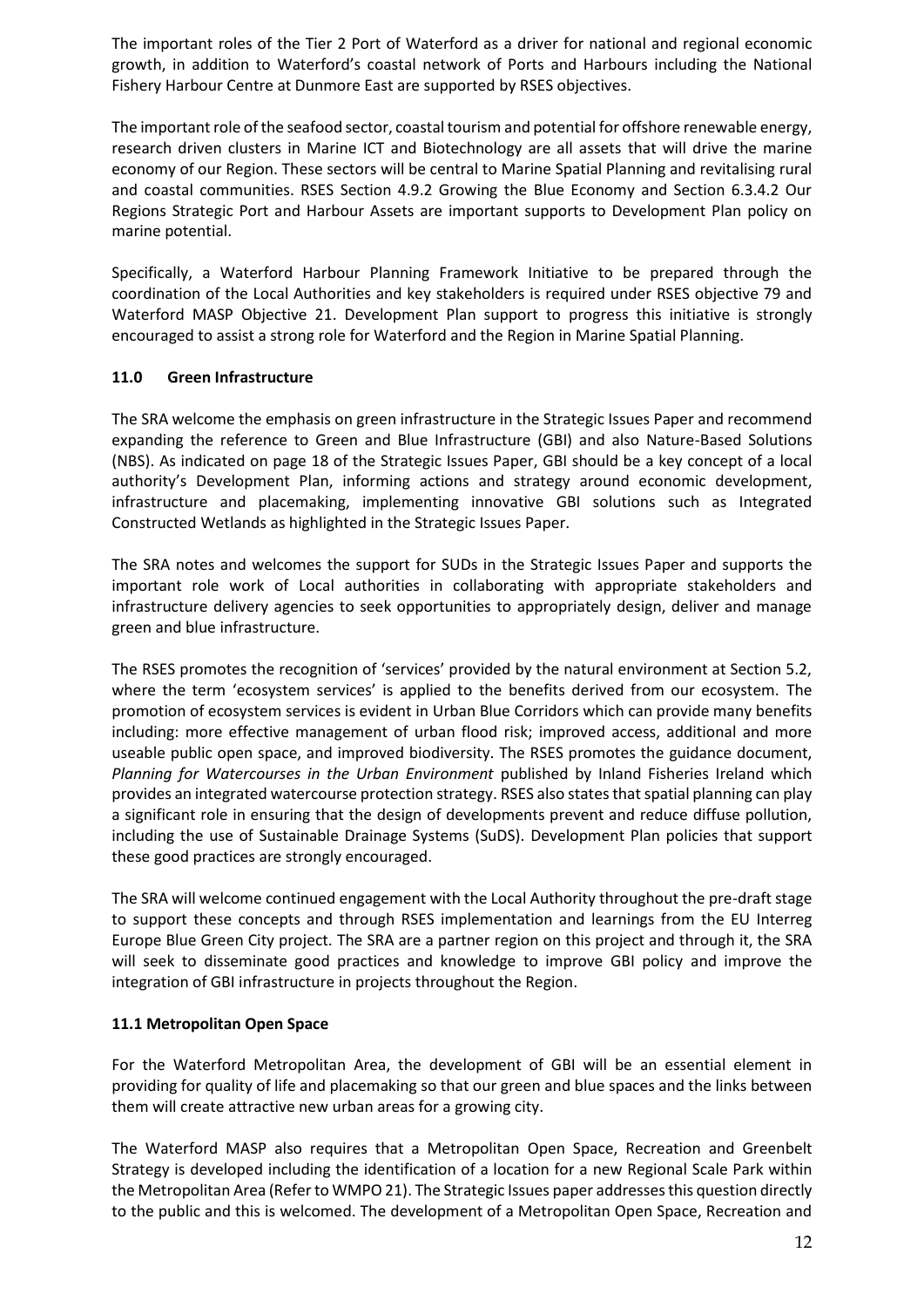The important roles of the Tier 2 Port of Waterford as a driver for national and regional economic growth, in addition to Waterford's coastal network of Ports and Harbours including the National Fishery Harbour Centre at Dunmore East are supported by RSES objectives.

The important role of the seafood sector, coastal tourism and potential for offshore renewable energy, research driven clusters in Marine ICT and Biotechnology are all assets that will drive the marine economy of our Region. These sectors will be central to Marine Spatial Planning and revitalising rural and coastal communities. RSES Section 4.9.2 Growing the Blue Economy and Section 6.3.4.2 Our Regions Strategic Port and Harbour Assets are important supports to Development Plan policy on marine potential.

Specifically, a Waterford Harbour Planning Framework Initiative to be prepared through the coordination of the Local Authorities and key stakeholders is required under RSES objective 79 and Waterford MASP Objective 21. Development Plan support to progress this initiative is strongly encouraged to assist a strong role for Waterford and the Region in Marine Spatial Planning.

## **11.0 Green Infrastructure**

The SRA welcome the emphasis on green infrastructure in the Strategic Issues Paper and recommend expanding the reference to Green and Blue Infrastructure (GBI) and also Nature-Based Solutions (NBS). As indicated on page 18 of the Strategic Issues Paper, GBI should be a key concept of a local authority's Development Plan, informing actions and strategy around economic development, infrastructure and placemaking, implementing innovative GBI solutions such as Integrated Constructed Wetlands as highlighted in the Strategic Issues Paper.

The SRA notes and welcomes the support for SUDs in the Strategic Issues Paper and supports the important role work of Local authorities in collaborating with appropriate stakeholders and infrastructure delivery agencies to seek opportunities to appropriately design, deliver and manage green and blue infrastructure.

The RSES promotes the recognition of 'services' provided by the natural environment at Section 5.2, where the term 'ecosystem services' is applied to the benefits derived from our ecosystem. The promotion of ecosystem services is evident in Urban Blue Corridors which can provide many benefits including: more effective management of urban flood risk; improved access, additional and more useable public open space, and improved biodiversity. The RSES promotes the guidance document, *Planning for Watercourses in the Urban Environment* published by Inland Fisheries Ireland which provides an integrated watercourse protection strategy. RSES also states that spatial planning can play a significant role in ensuring that the design of developments prevent and reduce diffuse pollution, including the use of Sustainable Drainage Systems (SuDS). Development Plan policies that support these good practices are strongly encouraged.

The SRA will welcome continued engagement with the Local Authority throughout the pre-draft stage to support these concepts and through RSES implementation and learnings from the EU Interreg Europe Blue Green City project. The SRA are a partner region on this project and through it, the SRA will seek to disseminate good practices and knowledge to improve GBI policy and improve the integration of GBI infrastructure in projects throughout the Region.

## **11.1 Metropolitan Open Space**

For the Waterford Metropolitan Area, the development of GBI will be an essential element in providing for quality of life and placemaking so that our green and blue spaces and the links between them will create attractive new urban areas for a growing city.

The Waterford MASP also requires that a Metropolitan Open Space, Recreation and Greenbelt Strategy is developed including the identification of a location for a new Regional Scale Park within the Metropolitan Area (Refer to WMPO 21). The Strategic Issues paper addresses this question directly to the public and this is welcomed. The development of a Metropolitan Open Space, Recreation and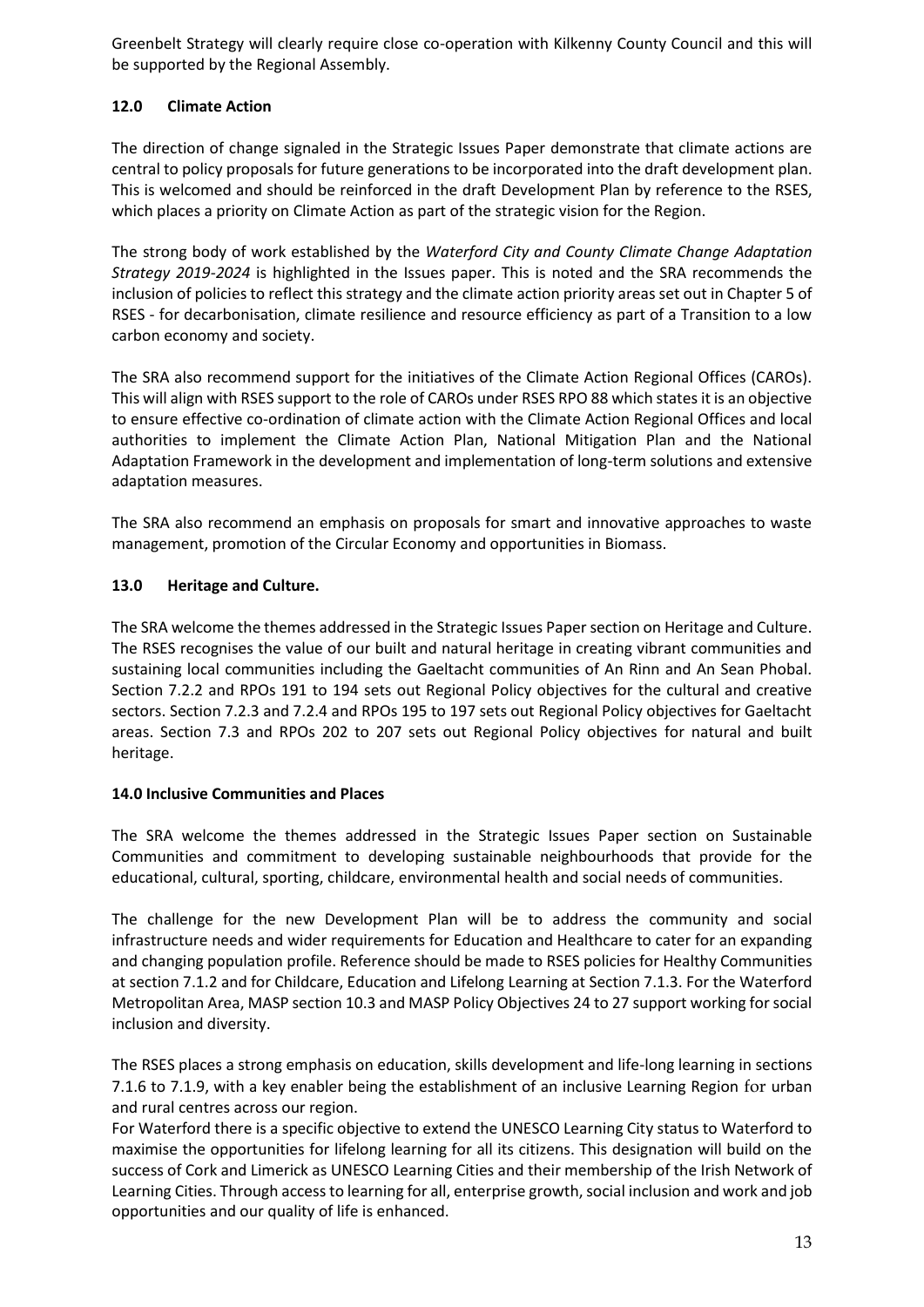Greenbelt Strategy will clearly require close co-operation with Kilkenny County Council and this will be supported by the Regional Assembly.

# **12.0 Climate Action**

The direction of change signaled in the Strategic Issues Paper demonstrate that climate actions are central to policy proposals for future generations to be incorporated into the draft development plan. This is welcomed and should be reinforced in the draft Development Plan by reference to the RSES, which places a priority on Climate Action as part of the strategic vision for the Region.

The strong body of work established by the *Waterford City and County Climate Change Adaptation Strategy 2019-2024* is highlighted in the Issues paper. This is noted and the SRA recommends the inclusion of policies to reflect this strategy and the climate action priority areas set out in Chapter 5 of RSES - for decarbonisation, climate resilience and resource efficiency as part of a Transition to a low carbon economy and society.

The SRA also recommend support for the initiatives of the Climate Action Regional Offices (CAROs). This will align with RSES support to the role of CAROs under RSES RPO 88 which states it is an objective to ensure effective co-ordination of climate action with the Climate Action Regional Offices and local authorities to implement the Climate Action Plan, National Mitigation Plan and the National Adaptation Framework in the development and implementation of long-term solutions and extensive adaptation measures.

The SRA also recommend an emphasis on proposals for smart and innovative approaches to waste management, promotion of the Circular Economy and opportunities in Biomass.

## **13.0 Heritage and Culture.**

The SRA welcome the themes addressed in the Strategic Issues Paper section on Heritage and Culture. The RSES recognises the value of our built and natural heritage in creating vibrant communities and sustaining local communities including the Gaeltacht communities of An Rinn and An Sean Phobal. Section 7.2.2 and RPOs 191 to 194 sets out Regional Policy objectives for the cultural and creative sectors. Section 7.2.3 and 7.2.4 and RPOs 195 to 197 sets out Regional Policy objectives for Gaeltacht areas. Section 7.3 and RPOs 202 to 207 sets out Regional Policy objectives for natural and built heritage.

## **14.0 Inclusive Communities and Places**

The SRA welcome the themes addressed in the Strategic Issues Paper section on Sustainable Communities and commitment to developing sustainable neighbourhoods that provide for the educational, cultural, sporting, childcare, environmental health and social needs of communities.

The challenge for the new Development Plan will be to address the community and social infrastructure needs and wider requirements for Education and Healthcare to cater for an expanding and changing population profile. Reference should be made to RSES policies for Healthy Communities at section 7.1.2 and for Childcare, Education and Lifelong Learning at Section 7.1.3. For the Waterford Metropolitan Area, MASP section 10.3 and MASP Policy Objectives 24 to 27 support working for social inclusion and diversity.

The RSES places a strong emphasis on education, skills development and life-long learning in sections 7.1.6 to 7.1.9, with a key enabler being the establishment of an inclusive Learning Region for urban and rural centres across our region.

For Waterford there is a specific objective to extend the UNESCO Learning City status to Waterford to maximise the opportunities for lifelong learning for all its citizens. This designation will build on the success of Cork and Limerick as UNESCO Learning Cities and their membership of the Irish Network of Learning Cities. Through access to learning for all, enterprise growth, social inclusion and work and job opportunities and our quality of life is enhanced.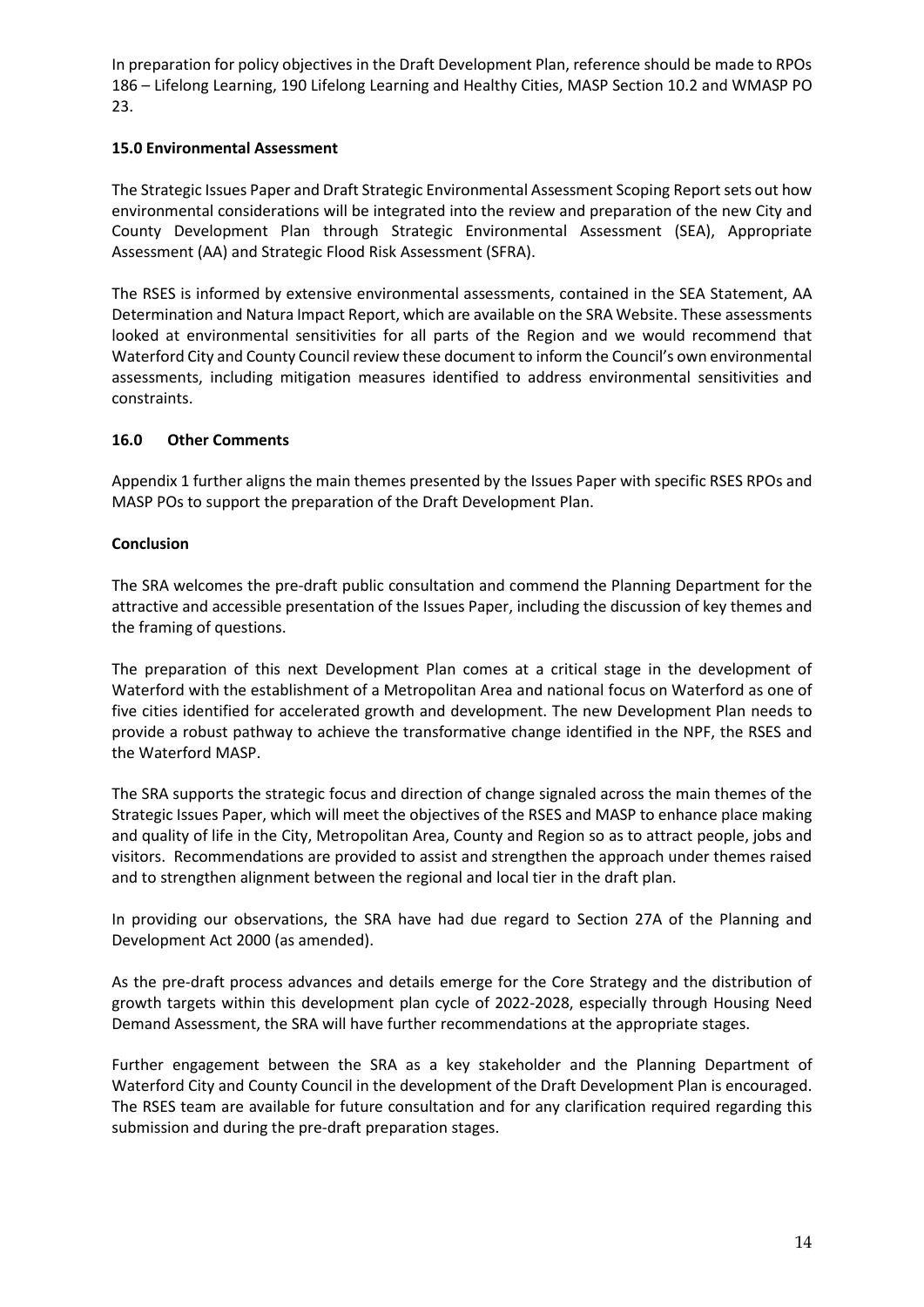In preparation for policy objectives in the Draft Development Plan, reference should be made to RPOs 186 – Lifelong Learning, 190 Lifelong Learning and Healthy Cities, MASP Section 10.2 and WMASP PO 23.

## **15.0 Environmental Assessment**

The Strategic Issues Paper and Draft Strategic Environmental Assessment Scoping Report sets out how environmental considerations will be integrated into the review and preparation of the new City and County Development Plan through Strategic Environmental Assessment (SEA), Appropriate Assessment (AA) and Strategic Flood Risk Assessment (SFRA).

The RSES is informed by extensive environmental assessments, contained in the SEA Statement, AA Determination and Natura Impact Report, which are available on the SRA Website. These assessments looked at environmental sensitivities for all parts of the Region and we would recommend that Waterford City and County Council review these document to inform the Council's own environmental assessments, including mitigation measures identified to address environmental sensitivities and constraints.

### **16.0 Other Comments**

Appendix 1 further aligns the main themes presented by the Issues Paper with specific RSES RPOs and MASP POs to support the preparation of the Draft Development Plan.

### **Conclusion**

The SRA welcomes the pre-draft public consultation and commend the Planning Department for the attractive and accessible presentation of the Issues Paper, including the discussion of key themes and the framing of questions.

The preparation of this next Development Plan comes at a critical stage in the development of Waterford with the establishment of a Metropolitan Area and national focus on Waterford as one of five cities identified for accelerated growth and development. The new Development Plan needs to provide a robust pathway to achieve the transformative change identified in the NPF, the RSES and the Waterford MASP.

The SRA supports the strategic focus and direction of change signaled across the main themes of the Strategic Issues Paper, which will meet the objectives of the RSES and MASP to enhance place making and quality of life in the City, Metropolitan Area, County and Region so as to attract people, jobs and visitors. Recommendations are provided to assist and strengthen the approach under themes raised and to strengthen alignment between the regional and local tier in the draft plan.

In providing our observations, the SRA have had due regard to Section 27A of the Planning and Development Act 2000 (as amended).

As the pre-draft process advances and details emerge for the Core Strategy and the distribution of growth targets within this development plan cycle of 2022-2028, especially through Housing Need Demand Assessment, the SRA will have further recommendations at the appropriate stages.

Further engagement between the SRA as a key stakeholder and the Planning Department of Waterford City and County Council in the development of the Draft Development Plan is encouraged. The RSES team are available for future consultation and for any clarification required regarding this submission and during the pre-draft preparation stages.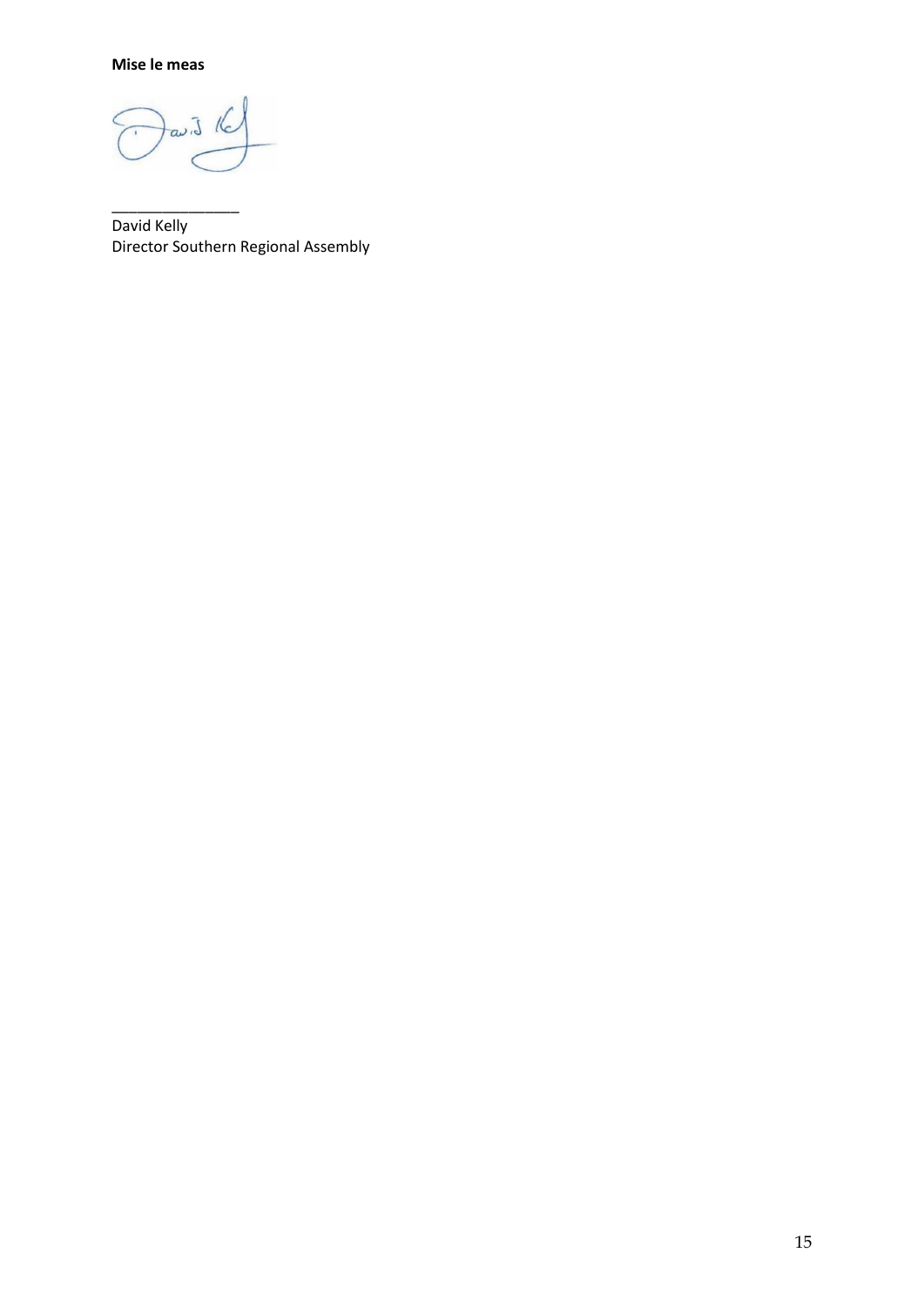**Mise le meas**

 $\overline{L} \omega$ К

\_\_\_\_\_\_\_\_\_\_\_\_\_\_\_

David Kelly Director Southern Regional Assembly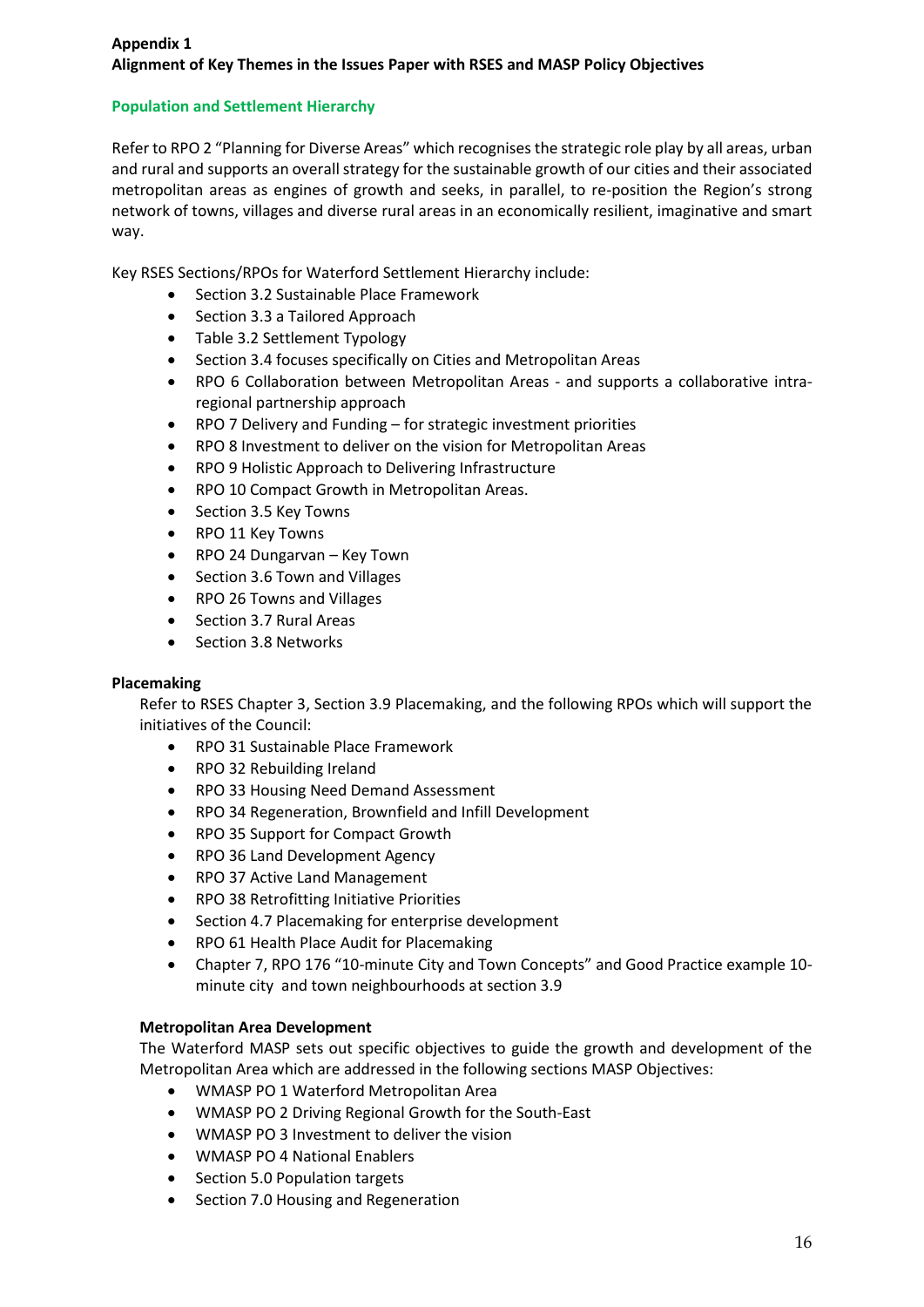# **Appendix 1 Alignment of Key Themes in the Issues Paper with RSES and MASP Policy Objectives**

## **Population and Settlement Hierarchy**

Refer to RPO 2 "Planning for Diverse Areas" which recognises the strategic role play by all areas, urban and rural and supports an overall strategy for the sustainable growth of our cities and their associated metropolitan areas as engines of growth and seeks, in parallel, to re-position the Region's strong network of towns, villages and diverse rural areas in an economically resilient, imaginative and smart way.

Key RSES Sections/RPOs for Waterford Settlement Hierarchy include:

- Section 3.2 Sustainable Place Framework
- Section 3.3 a Tailored Approach
- Table 3.2 Settlement Typology
- Section 3.4 focuses specifically on Cities and Metropolitan Areas
- RPO 6 Collaboration between Metropolitan Areas and supports a collaborative intraregional partnership approach
- RPO 7 Delivery and Funding for strategic investment priorities
- RPO 8 Investment to deliver on the vision for Metropolitan Areas
- RPO 9 Holistic Approach to Delivering Infrastructure
- RPO 10 Compact Growth in Metropolitan Areas.
- Section 3.5 Key Towns
- RPO 11 Key Towns
- RPO 24 Dungarvan Key Town
- Section 3.6 Town and Villages
- RPO 26 Towns and Villages
- Section 3.7 Rural Areas
- Section 3.8 Networks

#### **Placemaking**

Refer to RSES Chapter 3, Section 3.9 Placemaking, and the following RPOs which will support the initiatives of the Council:

- RPO 31 Sustainable Place Framework
- RPO 32 Rebuilding Ireland
- RPO 33 Housing Need Demand Assessment
- RPO 34 Regeneration, Brownfield and Infill Development
- RPO 35 Support for Compact Growth
- RPO 36 Land Development Agency
- RPO 37 Active Land Management
- RPO 38 Retrofitting Initiative Priorities
- Section 4.7 Placemaking for enterprise development
- RPO 61 Health Place Audit for Placemaking
- Chapter 7, RPO 176 "10-minute City and Town Concepts" and Good Practice example 10 minute city and town neighbourhoods at section 3.9

#### **Metropolitan Area Development**

The Waterford MASP sets out specific objectives to guide the growth and development of the Metropolitan Area which are addressed in the following sections MASP Objectives:

- WMASP PO 1 Waterford Metropolitan Area
- WMASP PO 2 Driving Regional Growth for the South-East
- WMASP PO 3 Investment to deliver the vision
- WMASP PO 4 National Enablers
- Section 5.0 Population targets
- Section 7.0 Housing and Regeneration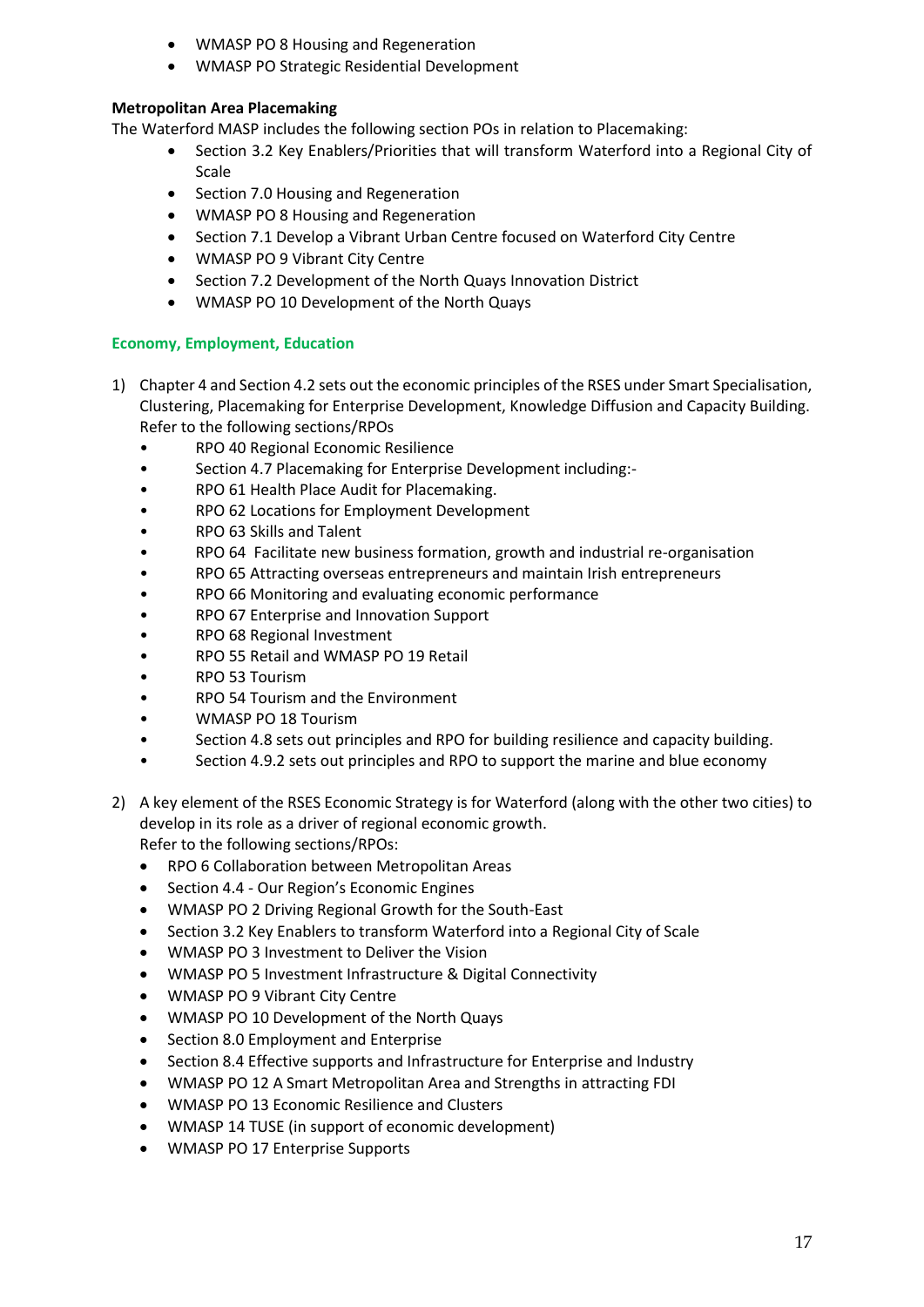- WMASP PO 8 Housing and Regeneration
- WMASP PO Strategic Residential Development

## **Metropolitan Area Placemaking**

The Waterford MASP includes the following section POs in relation to Placemaking:

- Section 3.2 Key Enablers/Priorities that will transform Waterford into a Regional City of Scale
- Section 7.0 Housing and Regeneration
- WMASP PO 8 Housing and Regeneration
- Section 7.1 Develop a Vibrant Urban Centre focused on Waterford City Centre
- WMASP PO 9 Vibrant City Centre
- Section 7.2 Development of the North Quays Innovation District
- WMASP PO 10 Development of the North Quays

# **Economy, Employment, Education**

- 1) Chapter 4 and Section 4.2 sets out the economic principles of the RSES under Smart Specialisation, Clustering, Placemaking for Enterprise Development, Knowledge Diffusion and Capacity Building. Refer to the following sections/RPOs
	- RPO 40 Regional Economic Resilience
	- Section 4.7 Placemaking for Enterprise Development including:-
	- RPO 61 Health Place Audit for Placemaking.
	- RPO 62 Locations for Employment Development
	- RPO 63 Skills and Talent
	- RPO 64 Facilitate new business formation, growth and industrial re-organisation
	- RPO 65 Attracting overseas entrepreneurs and maintain Irish entrepreneurs
	- RPO 66 Monitoring and evaluating economic performance
	- RPO 67 Enterprise and Innovation Support
	- RPO 68 Regional Investment
	- RPO 55 Retail and WMASP PO 19 Retail
	- RPO 53 Tourism
	- RPO 54 Tourism and the Environment
	- WMASP PO 18 Tourism
	- Section 4.8 sets out principles and RPO for building resilience and capacity building.
	- Section 4.9.2 sets out principles and RPO to support the marine and blue economy
- 2) A key element of the RSES Economic Strategy is for Waterford (along with the other two cities) to develop in its role as a driver of regional economic growth. Refer to the following sections/RPOs:
	- RPO 6 Collaboration between Metropolitan Areas
	- Section 4.4 Our Region's Economic Engines
	- WMASP PO 2 Driving Regional Growth for the South-East
	- Section 3.2 Key Enablers to transform Waterford into a Regional City of Scale
	- WMASP PO 3 Investment to Deliver the Vision
	- WMASP PO 5 Investment Infrastructure & Digital Connectivity
	- WMASP PO 9 Vibrant City Centre
	- WMASP PO 10 Development of the North Quays
	- Section 8.0 Employment and Enterprise
	- Section 8.4 Effective supports and Infrastructure for Enterprise and Industry
	- WMASP PO 12 A Smart Metropolitan Area and Strengths in attracting FDI
	- WMASP PO 13 Economic Resilience and Clusters
	- WMASP 14 TUSE (in support of economic development)
	- WMASP PO 17 Enterprise Supports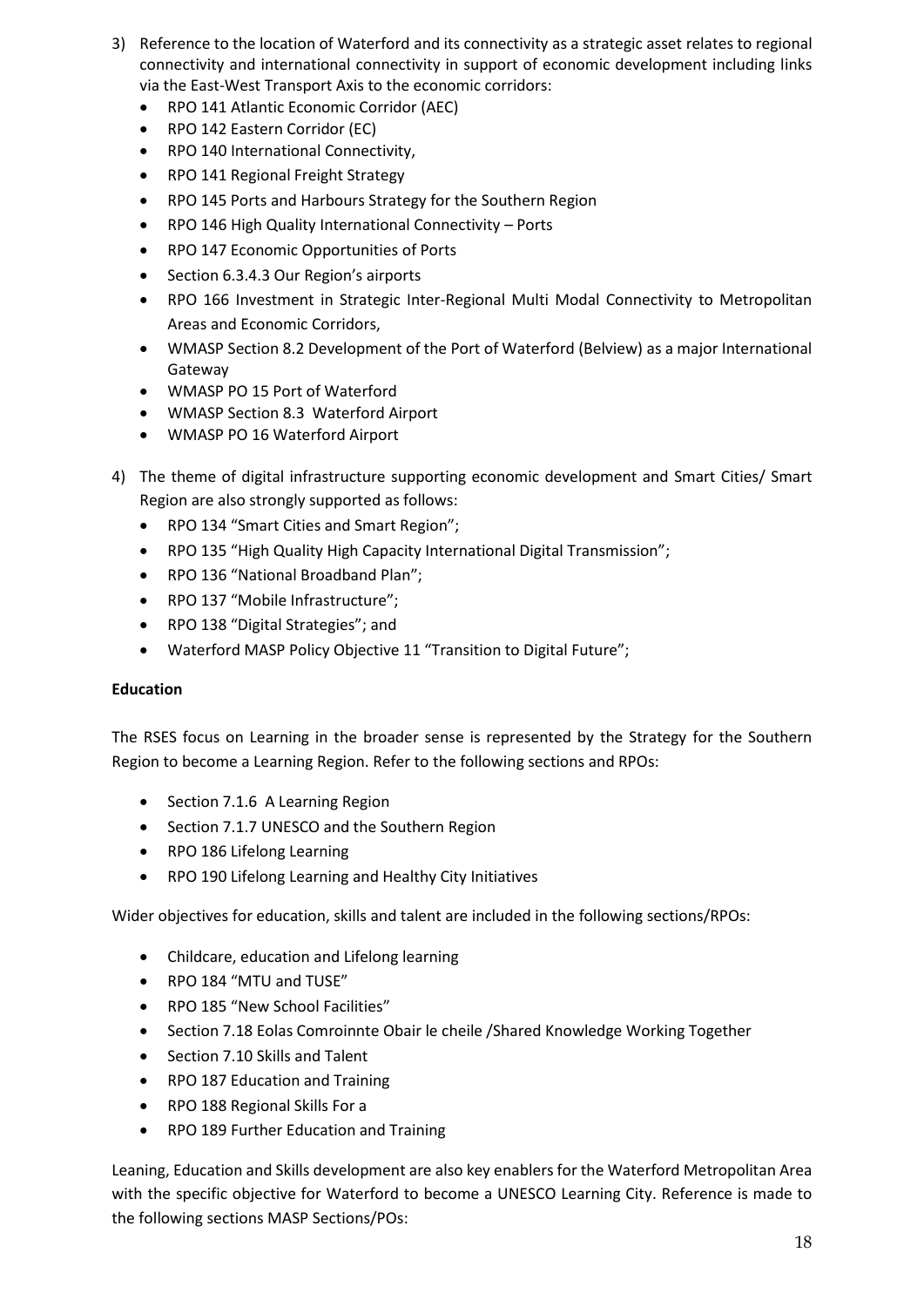- 3) Reference to the location of Waterford and its connectivity as a strategic asset relates to regional connectivity and international connectivity in support of economic development including links via the East-West Transport Axis to the economic corridors:
	- RPO 141 Atlantic Economic Corridor (AEC)
	- RPO 142 Eastern Corridor (EC)
	- RPO 140 International Connectivity.
	- RPO 141 Regional Freight Strategy
	- RPO 145 Ports and Harbours Strategy for the Southern Region
	- RPO 146 High Quality International Connectivity Ports
	- RPO 147 Economic Opportunities of Ports
	- Section 6.3.4.3 Our Region's airports
	- RPO 166 Investment in Strategic Inter-Regional Multi Modal Connectivity to Metropolitan Areas and Economic Corridors,
	- WMASP Section 8.2 Development of the Port of Waterford (Belview) as a major International Gateway
	- WMASP PO 15 Port of Waterford
	- WMASP Section 8.3 Waterford Airport
	- WMASP PO 16 Waterford Airport
- 4) The theme of digital infrastructure supporting economic development and Smart Cities/ Smart Region are also strongly supported as follows:
	- RPO 134 "Smart Cities and Smart Region";
	- RPO 135 "High Quality High Capacity International Digital Transmission";
	- RPO 136 "National Broadband Plan";
	- RPO 137 "Mobile Infrastructure";
	- RPO 138 "Digital Strategies"; and
	- Waterford MASP Policy Objective 11 "Transition to Digital Future";

#### **Education**

The RSES focus on Learning in the broader sense is represented by the Strategy for the Southern Region to become a Learning Region. Refer to the following sections and RPOs:

- Section 7.1.6 A Learning Region
- Section 7.1.7 UNESCO and the Southern Region
- RPO 186 Lifelong Learning
- RPO 190 Lifelong Learning and Healthy City Initiatives

Wider objectives for education, skills and talent are included in the following sections/RPOs:

- Childcare, education and Lifelong learning
- RPO 184 "MTU and TUSE"
- RPO 185 "New School Facilities"
- Section 7.18 Eolas Comroinnte Obair le cheile / Shared Knowledge Working Together
- Section 7.10 Skills and Talent
- RPO 187 Education and Training
- RPO 188 Regional Skills For a
- RPO 189 Further Education and Training

Leaning, Education and Skills development are also key enablers for the Waterford Metropolitan Area with the specific objective for Waterford to become a UNESCO Learning City. Reference is made to the following sections MASP Sections/POs: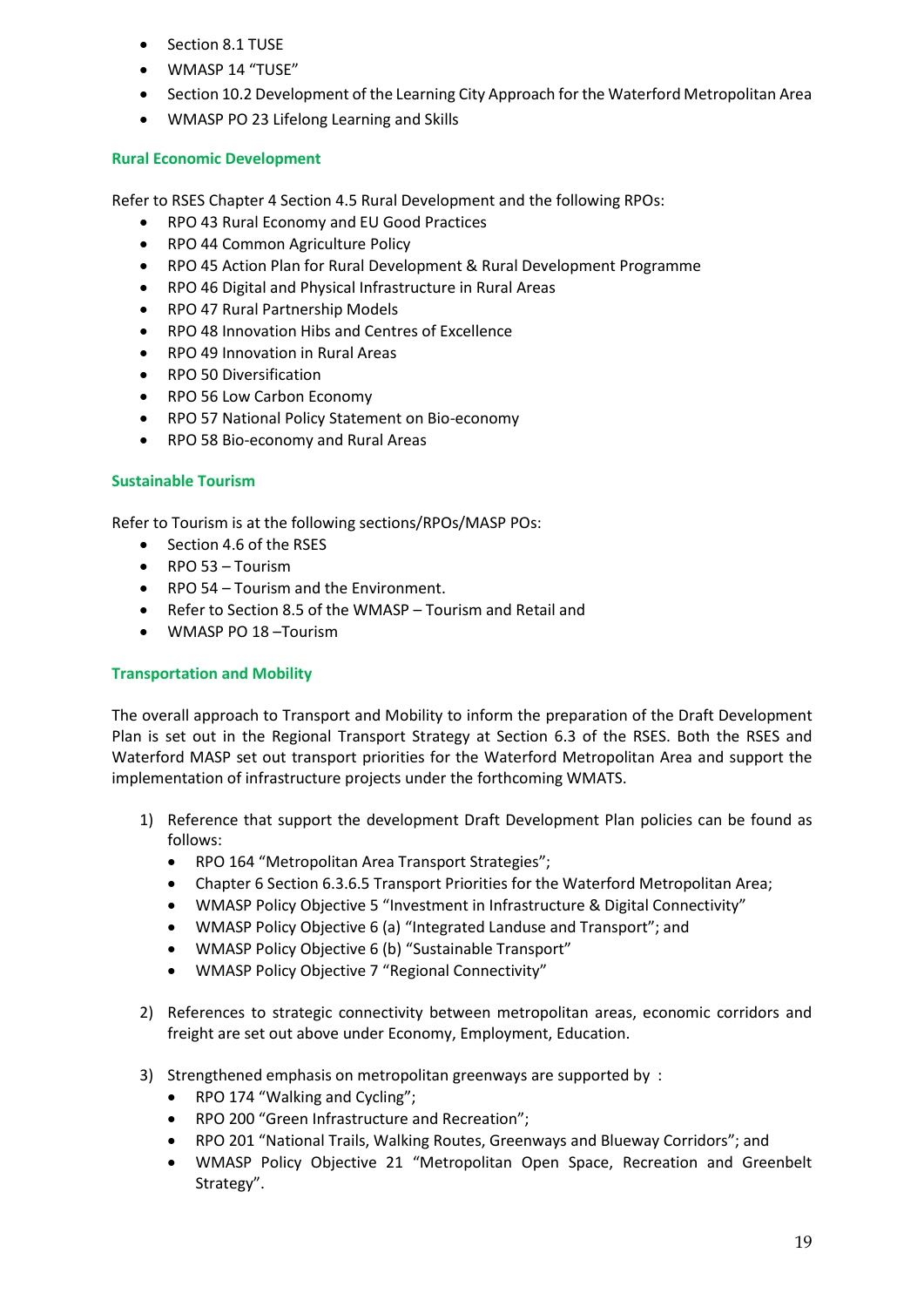- Section 8.1 TUSE
- WMASP 14 "TUSE"
- Section 10.2 Development of the Learning City Approach for the Waterford Metropolitan Area
- WMASP PO 23 Lifelong Learning and Skills

### **Rural Economic Development**

Refer to RSES Chapter 4 Section 4.5 Rural Development and the following RPOs:

- RPO 43 Rural Economy and EU Good Practices
- RPO 44 Common Agriculture Policy
- RPO 45 Action Plan for Rural Development & Rural Development Programme
- RPO 46 Digital and Physical Infrastructure in Rural Areas
- RPO 47 Rural Partnership Models
- RPO 48 Innovation Hibs and Centres of Excellence
- RPO 49 Innovation in Rural Areas
- RPO 50 Diversification
- RPO 56 Low Carbon Economy
- RPO 57 National Policy Statement on Bio-economy
- RPO 58 Bio-economy and Rural Areas

### **Sustainable Tourism**

Refer to Tourism is at the following sections/RPOs/MASP POs:

- Section 4.6 of the RSES
- RPO 53 Tourism
- RPO 54 Tourism and the Environment.
- Refer to Section 8.5 of the WMASP Tourism and Retail and
- WMASP PO 18 –Tourism

#### **Transportation and Mobility**

The overall approach to Transport and Mobility to inform the preparation of the Draft Development Plan is set out in the Regional Transport Strategy at Section 6.3 of the RSES. Both the RSES and Waterford MASP set out transport priorities for the Waterford Metropolitan Area and support the implementation of infrastructure projects under the forthcoming WMATS.

- 1) Reference that support the development Draft Development Plan policies can be found as follows:
	- RPO 164 "Metropolitan Area Transport Strategies";
	- Chapter 6 Section 6.3.6.5 Transport Priorities for the Waterford Metropolitan Area;
	- WMASP Policy Objective 5 "Investment in Infrastructure & Digital Connectivity"
	- WMASP Policy Objective 6 (a) "Integrated Landuse and Transport"; and
	- WMASP Policy Objective 6 (b) "Sustainable Transport"
	- WMASP Policy Objective 7 "Regional Connectivity"
- 2) References to strategic connectivity between metropolitan areas, economic corridors and freight are set out above under Economy, Employment, Education.
- 3) Strengthened emphasis on metropolitan greenways are supported by :
	- RPO 174 "Walking and Cycling";
	- RPO 200 "Green Infrastructure and Recreation";
	- RPO 201 "National Trails, Walking Routes, Greenways and Blueway Corridors"; and
	- WMASP Policy Objective 21 "Metropolitan Open Space, Recreation and Greenbelt Strategy".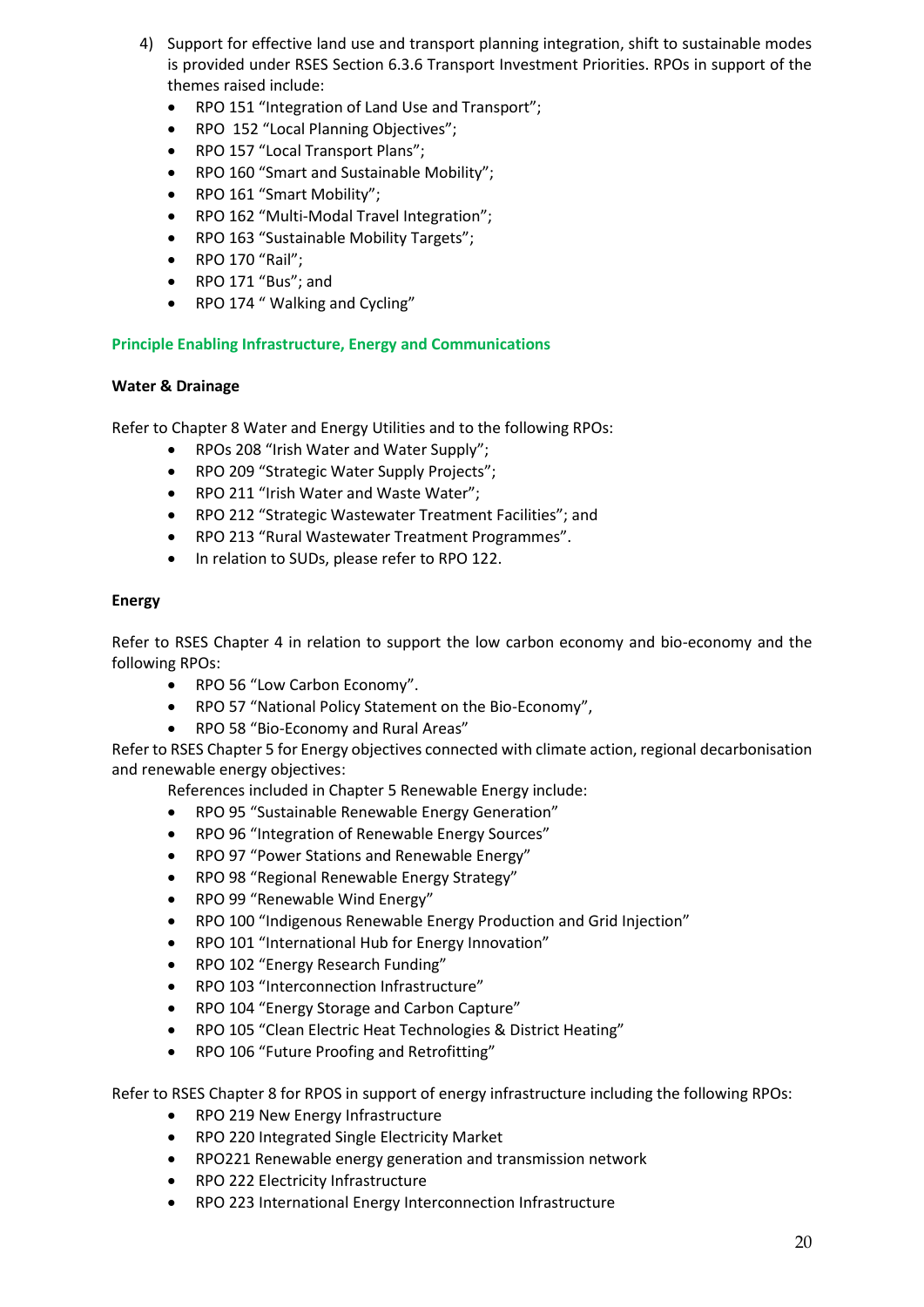- 4) Support for effective land use and transport planning integration, shift to sustainable modes is provided under RSES Section 6.3.6 Transport Investment Priorities. RPOs in support of the themes raised include:
	- RPO 151 "Integration of Land Use and Transport";
	- RPO 152 "Local Planning Objectives";
	- RPO 157 "Local Transport Plans";
	- RPO 160 "Smart and Sustainable Mobility";
	- RPO 161 "Smart Mobility";
	- RPO 162 "Multi-Modal Travel Integration";
	- RPO 163 "Sustainable Mobility Targets";
	- RPO 170 "Rail";
	- RPO 171 "Bus"; and
	- RPO 174 " Walking and Cycling"

## **Principle Enabling Infrastructure, Energy and Communications**

### **Water & Drainage**

Refer to Chapter 8 Water and Energy Utilities and to the following RPOs:

- RPOs 208 "Irish Water and Water Supply";
- RPO 209 "Strategic Water Supply Projects";
- RPO 211 "Irish Water and Waste Water";
- RPO 212 "Strategic Wastewater Treatment Facilities"; and
- RPO 213 "Rural Wastewater Treatment Programmes".
- In relation to SUDs, please refer to RPO 122.

### **Energy**

Refer to RSES Chapter 4 in relation to support the low carbon economy and bio-economy and the following RPOs:

- RPO 56 "Low Carbon Economy".
- RPO 57 "National Policy Statement on the Bio-Economy",
- RPO 58 "Bio-Economy and Rural Areas"

Refer to RSES Chapter 5 for Energy objectives connected with climate action, regional decarbonisation and renewable energy objectives:

References included in Chapter 5 Renewable Energy include:

- RPO 95 "Sustainable Renewable Energy Generation"
- RPO 96 "Integration of Renewable Energy Sources"
- RPO 97 "Power Stations and Renewable Energy"
- RPO 98 "Regional Renewable Energy Strategy"
- RPO 99 "Renewable Wind Energy"
- RPO 100 "Indigenous Renewable Energy Production and Grid Injection"
- RPO 101 "International Hub for Energy Innovation"
- RPO 102 "Energy Research Funding"
- RPO 103 "Interconnection Infrastructure"
- RPO 104 "Energy Storage and Carbon Capture"
- RPO 105 "Clean Electric Heat Technologies & District Heating"
- RPO 106 "Future Proofing and Retrofitting"

Refer to RSES Chapter 8 for RPOS in support of energy infrastructure including the following RPOs:

- RPO 219 New Energy Infrastructure
- RPO 220 Integrated Single Electricity Market
- RPO221 Renewable energy generation and transmission network
- RPO 222 Electricity Infrastructure
- RPO 223 International Energy Interconnection Infrastructure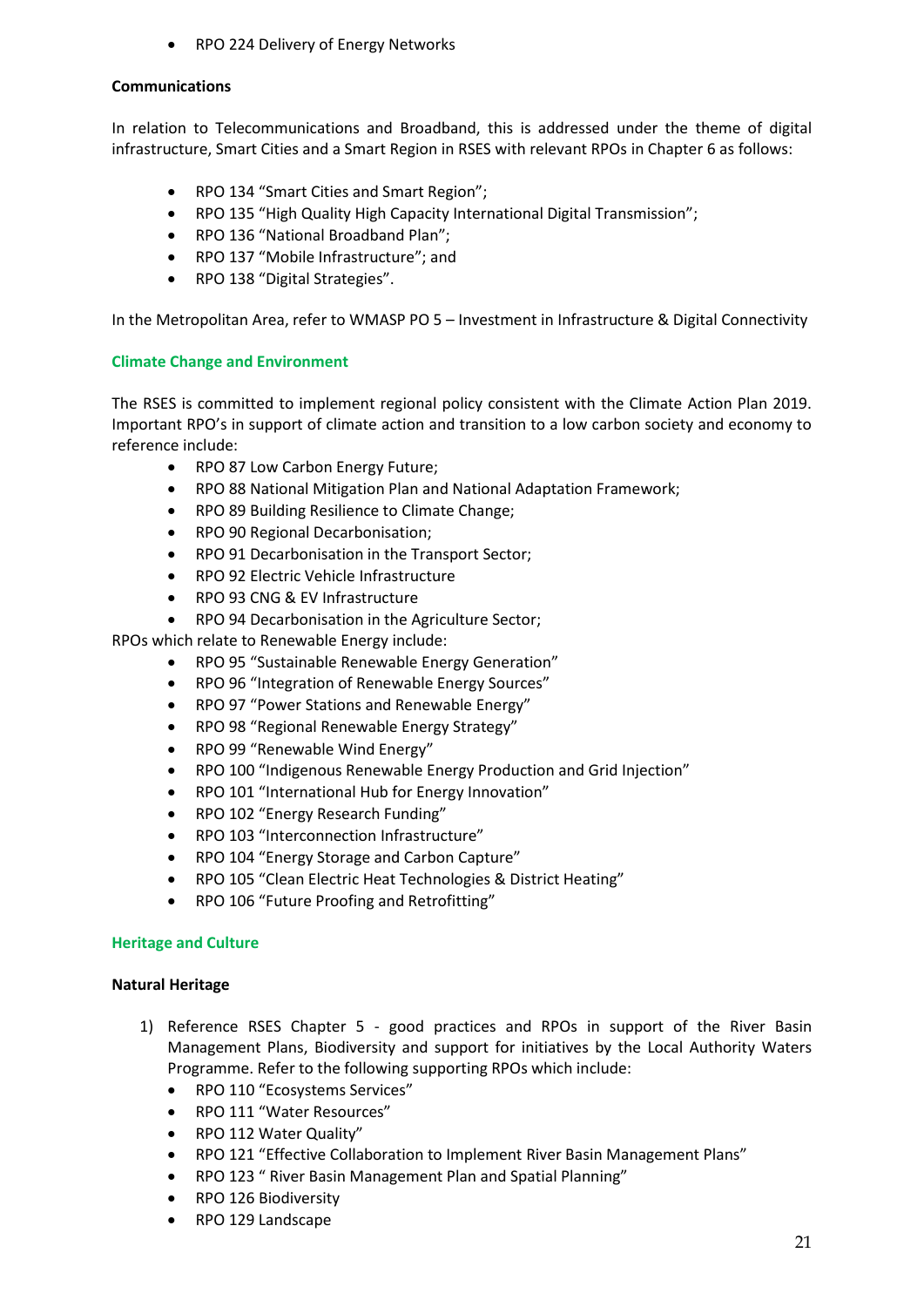RPO 224 Delivery of Energy Networks

### **Communications**

In relation to Telecommunications and Broadband, this is addressed under the theme of digital infrastructure, Smart Cities and a Smart Region in RSES with relevant RPOs in Chapter 6 as follows:

- RPO 134 "Smart Cities and Smart Region";
- RPO 135 "High Quality High Capacity International Digital Transmission";
- RPO 136 "National Broadband Plan";
- RPO 137 "Mobile Infrastructure": and
- RPO 138 "Digital Strategies".

In the Metropolitan Area, refer to WMASP PO 5 – Investment in Infrastructure & Digital Connectivity

### **Climate Change and Environment**

The RSES is committed to implement regional policy consistent with the Climate Action Plan 2019. Important RPO's in support of climate action and transition to a low carbon society and economy to reference include:

- RPO 87 Low Carbon Energy Future;
- RPO 88 National Mitigation Plan and National Adaptation Framework;
- RPO 89 Building Resilience to Climate Change;
- RPO 90 Regional Decarbonisation;
- RPO 91 Decarbonisation in the Transport Sector;
- RPO 92 Electric Vehicle Infrastructure
- RPO 93 CNG & EV Infrastructure
- RPO 94 Decarbonisation in the Agriculture Sector;

RPOs which relate to Renewable Energy include:

- RPO 95 "Sustainable Renewable Energy Generation"
- RPO 96 "Integration of Renewable Energy Sources"
- RPO 97 "Power Stations and Renewable Energy"
- RPO 98 "Regional Renewable Energy Strategy"
- RPO 99 "Renewable Wind Energy"
- RPO 100 "Indigenous Renewable Energy Production and Grid Injection"
- RPO 101 "International Hub for Energy Innovation"
- RPO 102 "Energy Research Funding"
- RPO 103 "Interconnection Infrastructure"
- RPO 104 "Energy Storage and Carbon Capture"
- RPO 105 "Clean Electric Heat Technologies & District Heating"
- RPO 106 "Future Proofing and Retrofitting"

## **Heritage and Culture**

#### **Natural Heritage**

- 1) Reference RSES Chapter 5 good practices and RPOs in support of the River Basin Management Plans, Biodiversity and support for initiatives by the Local Authority Waters Programme. Refer to the following supporting RPOs which include:
	- RPO 110 "Ecosystems Services"
	- RPO 111 "Water Resources"
	- RPO 112 Water Quality"
	- RPO 121 "Effective Collaboration to Implement River Basin Management Plans"
	- RPO 123 " River Basin Management Plan and Spatial Planning"
	- RPO 126 Biodiversity
	- RPO 129 Landscape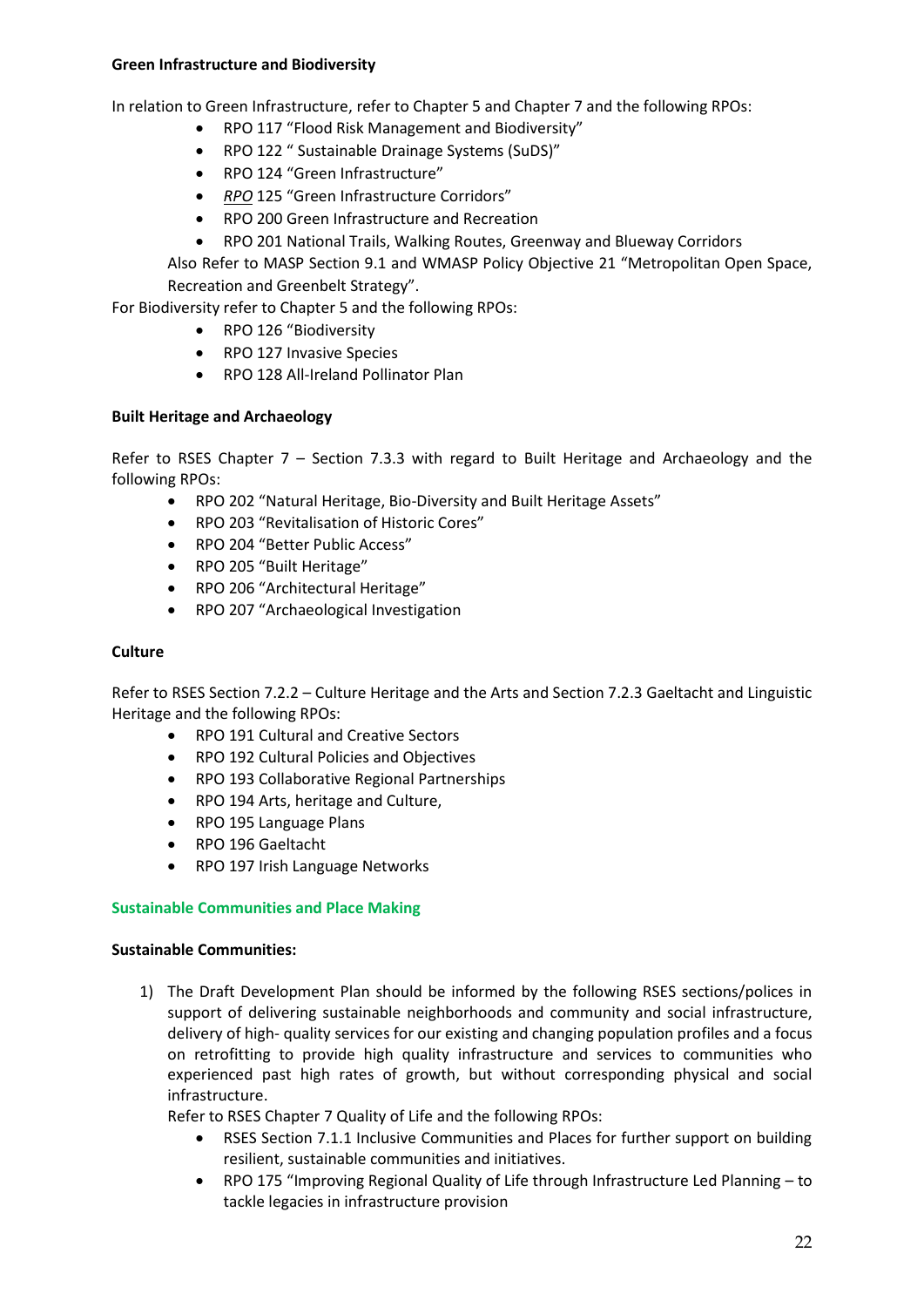#### **Green Infrastructure and Biodiversity**

In relation to Green Infrastructure, refer to Chapter 5 and Chapter 7 and the following RPOs:

- RPO 117 "Flood Risk Management and Biodiversity"
- RPO 122 " Sustainable Drainage Systems (SuDS)"
- RPO 124 "Green Infrastructure"
- *RPO* 125 "Green Infrastructure Corridors"
- RPO 200 Green Infrastructure and Recreation
- RPO 201 National Trails, Walking Routes, Greenway and Blueway Corridors

Also Refer to MASP Section 9.1 and WMASP Policy Objective 21 "Metropolitan Open Space, Recreation and Greenbelt Strategy".

For Biodiversity refer to Chapter 5 and the following RPOs:

- RPO 126 "Biodiversity
- RPO 127 Invasive Species
- RPO 128 All-Ireland Pollinator Plan

### **Built Heritage and Archaeology**

Refer to RSES Chapter 7 – Section 7.3.3 with regard to Built Heritage and Archaeology and the following RPOs:

- RPO 202 "Natural Heritage, Bio-Diversity and Built Heritage Assets"
- RPO 203 "Revitalisation of Historic Cores"
- RPO 204 "Better Public Access"
- RPO 205 "Built Heritage"
- RPO 206 "Architectural Heritage"
- RPO 207 "Archaeological Investigation

#### **Culture**

Refer to RSES Section 7.2.2 – Culture Heritage and the Arts and Section 7.2.3 Gaeltacht and Linguistic Heritage and the following RPOs:

- RPO 191 Cultural and Creative Sectors
- RPO 192 Cultural Policies and Objectives
- RPO 193 Collaborative Regional Partnerships
- RPO 194 Arts, heritage and Culture,
- RPO 195 Language Plans
- RPO 196 Gaeltacht
- RPO 197 Irish Language Networks

#### **Sustainable Communities and Place Making**

### **Sustainable Communities:**

1) The Draft Development Plan should be informed by the following RSES sections/polices in support of delivering sustainable neighborhoods and community and social infrastructure, delivery of high- quality services for our existing and changing population profiles and a focus on retrofitting to provide high quality infrastructure and services to communities who experienced past high rates of growth, but without corresponding physical and social infrastructure.

Refer to RSES Chapter 7 Quality of Life and the following RPOs:

- RSES Section 7.1.1 Inclusive Communities and Places for further support on building resilient, sustainable communities and initiatives.
- RPO 175 "Improving Regional Quality of Life through Infrastructure Led Planning to tackle legacies in infrastructure provision